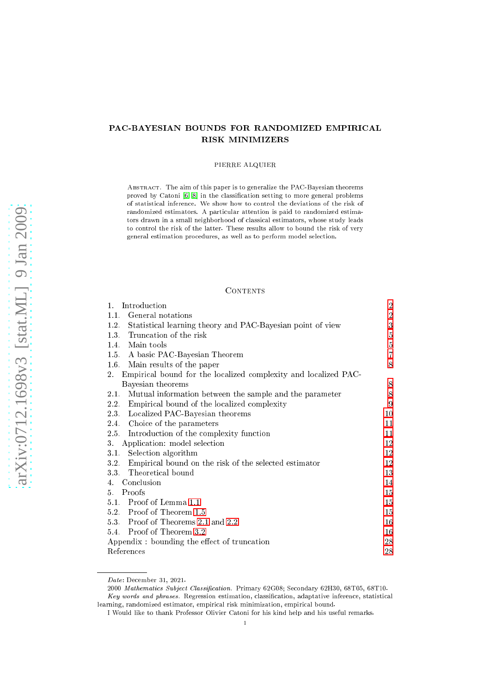# PAC-BAYESIAN BOUNDS FOR RANDOMIZED EMPIRICAL RISK MINIMIZERS

## PIERRE ALQUIER

Abstra
t. The aim of this paper is to generalize the PAC-Bayesian theorems proved by Catoni [\[6,](#page-27-0) 8] in the classification setting to more general problems of statisti
al inferen
e. We show how to ontrol the deviations of the risk of randomized estimators. A parti
ular attention is paid to randomized estimators drawn in a small neighborhood of classical estimators, whose study leads to control the risk of the latter. These results allow to bound the risk of very general estimation pro
edures, as well as to perform model sele
tion.

#### CONTENTS

| 1.<br>Introduction                                                         | 2              |
|----------------------------------------------------------------------------|----------------|
| General notations<br>1.1.                                                  | $\sqrt{2}$     |
| 1.2.<br>Statistical learning theory and PAC-Bayesian point of view         | $\sqrt{3}$     |
| Truncation of the risk<br>1.3.                                             | $5\,$          |
| Main tools<br>1.4.                                                         | $\bf 5$        |
| 1.5. A basic PAC-Bayesian Theorem                                          | $\overline{7}$ |
| 1.6. Main results of the paper                                             | 8              |
| Empirical bound for the localized complexity and localized PAC-<br>$2_{-}$ |                |
| Bayesian theorems                                                          | 8              |
| Mutual information between the sample and the parameter<br>2.1.            | 8              |
| Empirical bound of the localized complexity<br>2.2.                        | 9              |
| 2.3.<br>Localized PAC-Bayesian theorems                                    | 10             |
| Choice of the parameters<br>2.4.                                           | 11             |
| Introduction of the complexity function<br>2.5.                            | 11             |
| Application: model selection<br>3.                                         | 12             |
| Selection algorithm<br>3.1.                                                | 12             |
| Empirical bound on the risk of the selected estimator<br>3.2               | 12             |
| Theoretical bound<br>3.3.                                                  | 13             |
| 4. Conclusion                                                              | 14             |
| 5.<br>Proofs                                                               | 15             |
| 5.1 Proof of Lemma 1.1                                                     | 15             |
| 5.2 Proof of Theorem 1.5                                                   | 15             |
| 5.3. Proof of Theorems 2.1 and 2.2                                         | 16             |
| 5.4 Proof of Theorem 3.2                                                   | 16             |
| Appendix: bounding the effect of truncation                                | 28             |
| References                                                                 | 28             |

Date: De
ember 31, 2021.

<sup>2000</sup> Mathematics Subject Classification. Primary 62G08; Secondary 62H30, 68T05, 68T10.

Key words and phrases. Regression estimation, classification, adaptative inference, statistical learning, randomized estimator, empirical risk minimization, empirical bound.

I Would like to thank Professor Olivier Catoni for his kind help and his useful remarks.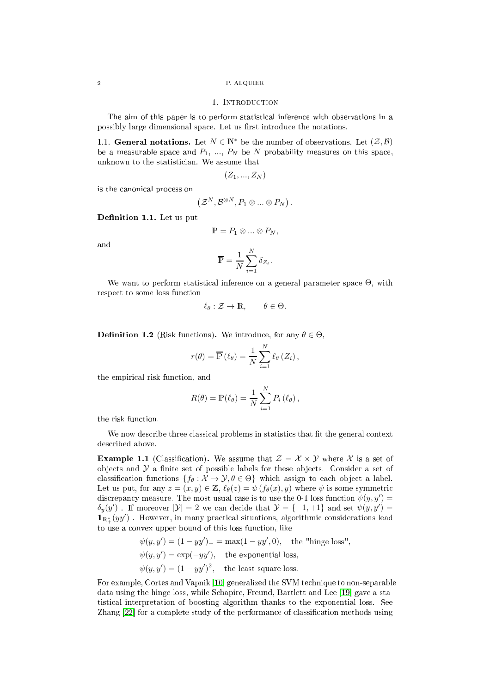#### 1. INTRODUCTION

<span id="page-1-0"></span>The aim of this paper is to perform statisti
al inferen
e with observations in a possibly large dimensional space. Let us first introduce the notations.

<span id="page-1-1"></span>1.1. General notations. Let  $N \in \mathbb{N}^*$  be the number of observations. Let  $(\mathcal{Z}, \mathcal{B})$ be a measurable space and  $P_1, ..., P_N$  be N probability measures on this space, unknown to the statisti
ian. We assume that

$$
(Z_1,...,Z_N)
$$

is the anoni
al pro
ess on

$$
\left(\mathcal{Z}^N,\mathcal{B}^{\otimes N},P_1\otimes...\otimes P_N\right).
$$

Definition 1.1. Let us put

$$
\mathbb{P} = P_1 \otimes \ldots \otimes P_N,
$$

and

$$
\overline{\mathbb{P}} = \frac{1}{N} \sum_{i=1}^{N} \delta_{Z_i}.
$$

We want to perform statistical inference on a general parameter space  $\Theta$ , with respect to some loss function

$$
\ell_{\theta}: \mathcal{Z} \to \mathbb{R}, \qquad \theta \in \Theta.
$$

**Definition 1.2** (Risk functions). We introduce, for any  $\theta \in \Theta$ ,

$$
r(\theta) = \overline{\mathbb{P}}\left(\ell_{\theta}\right) = \frac{1}{N} \sum_{i=1}^{N} \ell_{\theta}\left(Z_{i}\right),
$$

the empiri
al risk fun
tion, and

$$
R(\theta) = \mathbb{P}(\ell_{\theta}) = \frac{1}{N} \sum_{i=1}^{N} P_i(\ell_{\theta}),
$$

the risk function.

We now describe three classical problems in statistics that fit the general context des
ribed above.

**Example 1.1** (Classification). We assume that  $\mathcal{Z} = \mathcal{X} \times \mathcal{Y}$  where X is a set of objects and  $\mathcal Y$  a finite set of possible labels for these objects. Consider a set of classification functions  $\{f_\theta: \mathcal{X} \to \mathcal{Y}, \theta \in \Theta\}$  which assign to each object a label. Let us put, for any  $z = (x, y) \in \mathbb{Z}$ ,  $\ell_{\theta}(z) = \psi(f_{\theta}(x), y)$  where  $\psi$  is some symmetric discrepancy measure. The most usual case is to use the 0-1 loss function  $\psi(y, y') =$  $\delta_y(y')$  . If moreover  $|\mathcal{Y}| = 2$  we can decide that  $\mathcal{Y} = \{-1, +1\}$  and set  $\psi(y, y') =$  $\mathbb{1}_{\mathbb{R}_+^*}(yy')$  . However, in many practical situations, algorithmic considerations lead to use a onvex upper bound of this loss fun
tion, like

$$
\psi(y, y') = (1 - yy')_{+} = \max(1 - yy', 0),
$$
 the "hinge loss",  

$$
\psi(y, y') = \exp(-yy'),
$$
 the exponential loss,  

$$
\psi(y, y') = (1 - yy')^{2},
$$
 the least square loss.

For example, Cortes and Vapnik [10] generalized the SVM technique to non-separable data using the hinge loss, while Schapire, Freund, Bartlett and Lee [19] gave a statisti
al interpretation of boosting algorithm thanks to the exponential loss. See Zhang  $[22]$  for a complete study of the performance of classification methods using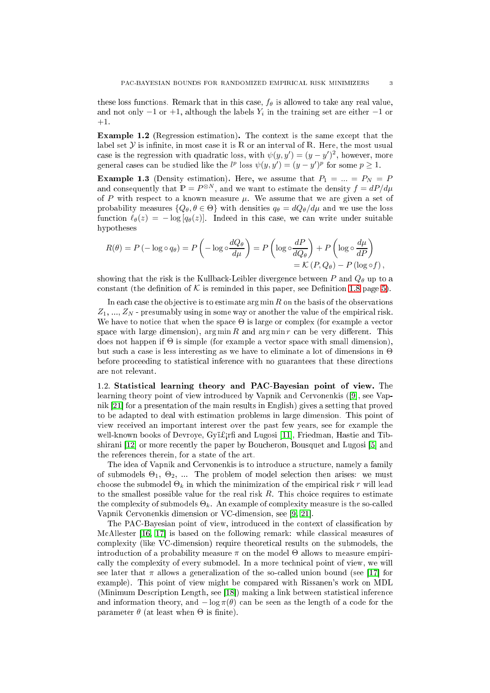these loss functions. Remark that in this case,  $f_{\theta}$  is allowed to take any real value, and not only  $-1$  or  $+1$ , although the labels  $Y_i$  in the training set are either  $-1$  or  $+1.$ 

Example 1.2 (Regression estimation). The context is the same except that the label set  $Y$  is infinite, in most case it is R or an interval of R. Here, the most usual case is the regression with quadratic loss, with  $\psi(y, y') = (y - y')^2$ , however, more general cases can be studied like the  $l^p$  loss  $\psi(y, y') = (y - y')^p$  for some  $p \ge 1$ .

**Example 1.3** (Density estimation). Here, we assume that  $P_1 = ... = P_N = P$ and consequently that  $\mathbb{P} = P^{\otimes N}$ , and we want to estimate the density  $f = dP/d\mu$ of  $P$  with respect to a known measure  $\mu$ . We assume that we are given a set of probability measures  $\{Q_\theta, \theta \in \Theta\}$  with densities  $q_\theta = dQ_\theta/d\mu$  and we use the loss function  $\ell_{\theta}(z) = -\log [q_{\theta}(z)]$ . Indeed in this case, we can write under suitable hypotheses

$$
R(\theta) = P(-\log \circ q_{\theta}) = P\left(-\log \circ \frac{dQ_{\theta}}{d\mu}\right) = P\left(\log \circ \frac{dP}{dQ_{\theta}}\right) + P\left(\log \circ \frac{d\mu}{dP}\right)
$$
  
=  $\mathcal{K}(P, Q_{\theta}) - P(\log \circ f)$ ,

showing that the risk is the Kullback-Leibler divergence between  $P$  and  $Q_{\theta}$  up to a constant (the definition of K is reminded in this paper, see Definition [1.8](#page-4-2) page [5\)](#page-4-2).

In each case the objective is to estimate  $\arg \min R$  on the basis of the observations  $Z_1, ..., Z_N$  - presumably using in some way or another the value of the empirical risk. We have to notice that when the space  $\Theta$  is large or complex (for example a vector space with large dimension),  $\arg \min R$  and  $\arg \min r$  can be very different. This does not happen if  $\Theta$  is simple (for example a vector space with small dimension). but such a case is less interesting as we have to eliminate a lot of dimensions in  $\Theta$ before proceeding to statistical inference with no guarantees that these directions are not relevant.

<span id="page-2-0"></span>1.2. Statisti
al learning theory and PAC-Bayesian point of view. The learning theory point of view introduced by Vapnik and Cervonenkis ([9], see Vapnik  $[21]$  for a presentation of the main results in English) gives a setting that proved to be adapted to deal with estimation problems in large dimension. This point of view re
eived an important interest over the past few years, see for example the well-known books of Devroye, Gyï£<sub>i</sub>rfi and Lugosi [11], Friedman, Hastie and Tibshirani  $[12]$  or more recently the paper by Boucheron, Bousquet and Lugosi  $[5]$  and the referen
es therein, for a state of the art.

The idea of Vapnik and Cervonenkis is to introduce a structure, namely a family of submodels  $\Theta_1, \Theta_2, \dots$  The problem of model selection then arises: we must choose the submodel  $\Theta_k$  in which the minimization of the empirical risk r will lead to the smallest possible value for the real risk  $R$ . This choice requires to estimate the complexity of submodels  $\Theta_k$ . An example of complexity measure is the so-called Vapnik Cervonenkis dimension or VC-dimension, see [\[9,](#page-27-5) 21].

The PAC-Bayesian point of view, introduced in the context of classification by McAllester [\[16,](#page-28-5) 17] is based on the following remark: while classical measures of omplexity (like VC-dimension) require theoreti
al results on the submodels, the introduction of a probability measure  $\pi$  on the model  $\Theta$  allows to measure empirically the complexity of every submodel. In a more technical point of view, we will see later that  $\pi$  allows a generalization of the so-called union bound (see [17] for example). This point of view might be ompared with Rissanen's work on MDL (Minimum Description Length, see [18]) making a link between statistical inference and information theory, and  $-\log \pi(\theta)$  can be seen as the length of a code for the parameter  $\theta$  (at least when  $\Theta$  is finite).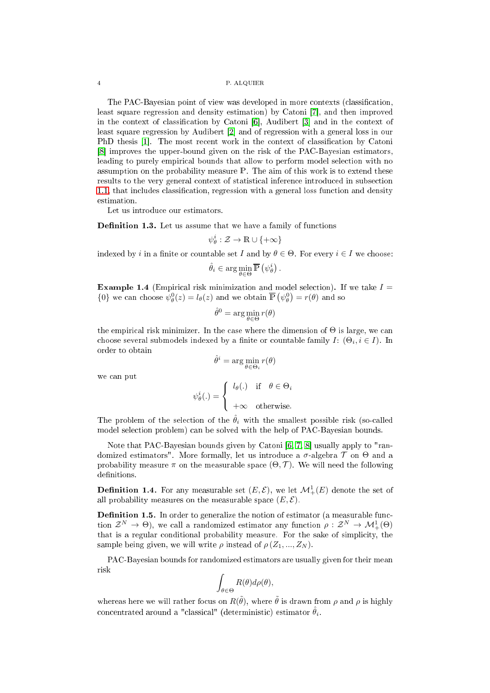The PAC-Bayesian point of view was developed in more contexts (classification, least square regression and density estimation) by Catoni [7], and then improved in the context of classification by Catoni [6], Audibert [3] and in the context of least square regression by Audibert [2] and of regression with a general loss in our PhD thesis [1]. The most recent work in the context of classification by Catoni [8] improves the upper-bound given on the risk of the PAC-Bayesian estimators, leading to purely empirical bounds that allow to perform model selection with no assumption on the probability measure P. The aim of this work is to extend these results to the very general ontext of statisti
al inferen
e introdu
ed in subse
tion [1.1,](#page-1-1) that includes classification, regression with a general loss function and density estimation.

Let us introdu
e our estimators.

**Definition 1.3.** Let us assume that we have a family of functions

$$
\psi_{\theta}^{i}:\mathcal{Z}\to\mathbb{R}\cup\{+\infty\}
$$

indexed by i in a finite or countable set I and by  $\theta \in \Theta$ . For every  $i \in I$  we choose:

$$
\hat{\theta}_i \in \arg\min_{\theta \in \Theta} \overline{\mathbb{P}}\left(\psi_{\theta}^i\right).
$$

**Example 1.4** (Empirical risk minimization and model selection). If we take  $I =$ {0} we can choose  $\psi_{\theta}^{0}(z) = l_{\theta}(z)$  and we obtain  $\overline{\mathbb{P}}(\psi_{\theta}^{0}) = r(\theta)$  and so

$$
\hat{\theta}^0 = \arg\min_{\theta \in \Theta} r(\theta)
$$

the empirical risk minimizer. In the case where the dimension of  $\Theta$  is large, we can choose several submodels indexed by a finite or countable family  $I: (\Theta_i, i \in I)$ . In order to obtain

$$
\hat{\theta}^i = \arg\min_{\theta \in \Theta_i} r(\theta)
$$

we an put

$$
\psi_{\theta}^{i}(.) = \begin{cases} l_{\theta}(.) & \text{if } \theta \in \Theta_{i} \\ +\infty & \text{otherwise.} \end{cases}
$$

The problem of the selection of the  $\hat{\theta}_i$  with the smallest possible risk (so-called model sele
tion problem) an be solved with the help of PAC-Bayesian bounds.

Note that PAC-Bayesian bounds given by Catoni  $[6, 7, 8]$  $[6, 7, 8]$  $[6, 7, 8]$  $[6, 7, 8]$  usually apply to "randomized estimators". More formally, let us introduce a  $\sigma$ -algebra  $\mathcal T$  on  $\Theta$  and a probability measure  $\pi$  on the measurable space  $(\Theta, \mathcal{T})$ . We will need the following definitions.

**Definition 1.4.** For any measurable set  $(E, \mathcal{E})$ , we let  $\mathcal{M}^1_+(E)$  denote the set of all probability measures on the measurable space  $(E, \mathcal{E})$ .

**Definition 1.5.** In order to generalize the notion of estimator (a measurable function  $\mathcal{Z}^N \to \Theta$ ), we call a randomized estimator any function  $\rho: \mathcal{Z}^N \to \mathcal{M}^1_+(\Theta)$ that is a regular conditional probability measure. For the sake of simplicity, the sample being given, we will write  $\rho$  instead of  $\rho(Z_1, ..., Z_N)$ .

PAC-Bayesian bounds for randomized estimators are usually given for their mean risk

$$
\int_{\theta \in \Theta} R(\theta) d\rho(\theta),
$$

whereas here we will rather focus on  $R(\tilde{\theta})$ , where  $\tilde{\theta}$  is drawn from  $\rho$  and  $\rho$  is highly concentrated around a "classical" (deterministic) estimator  $\hat{\theta}_i$ .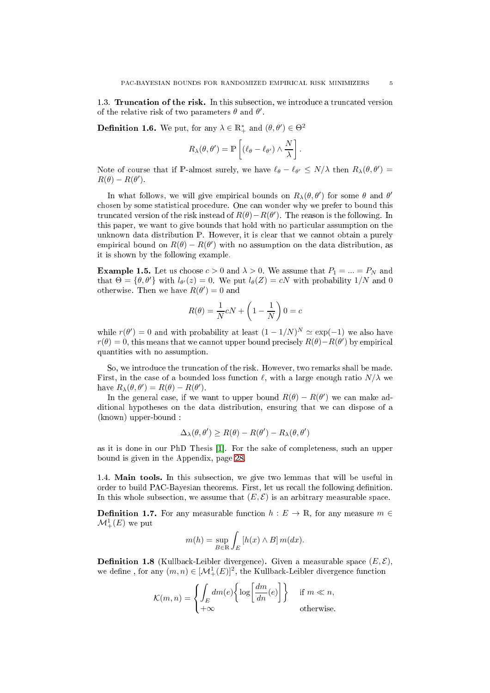<span id="page-4-0"></span>1.3. Truncation of the risk. In this subsection, we introduce a truncated version of the relative risk of two parameters  $\theta$  and  $\theta'$ .

**Definition 1.6.** We put, for any  $\lambda \in \mathbb{R}_+^*$  and  $(\theta, \theta') \in \Theta^2$ 

$$
R_{\lambda}(\theta, \theta') = \mathbb{P}\left[ (\ell_{\theta} - \ell_{\theta'}) \wedge \frac{N}{\lambda} \right]
$$

.

Note of course that if P-almost surely, we have  $\ell_{\theta} - \ell_{\theta'} \le N/\lambda$  then  $R_{\lambda}(\theta, \theta') =$  $R(\theta) - R(\theta').$ 

In what follows, we will give empirical bounds on  $R_{\lambda}(\theta, \theta')$  for some  $\theta$  and  $\theta'$ hosen by some statisti
al pro
edure. One an wonder why we prefer to bound this truncated version of the risk instead of  $R(\theta) - R(\theta')$ . The reason is the following. In this paper, we want to give bounds that hold with no particular assumption on the unknown data distribution P. However, it is lear that we annot obtain <sup>a</sup> purely empirical bound on  $R(\theta) - R(\theta')$  with no assumption on the data distribution, as it is shown by the following example.

**Example 1.5.** Let us choose  $c > 0$  and  $\lambda > 0$ . We assume that  $P_1 = ... = P_N$  and that  $\Theta = {\theta, \theta'}$  with  $l_{\theta'}(z) = 0$ . We put  $l_{\theta}(Z) = cN$  with probability  $1/N$  and 0 otherwise. Then we have  $R(\theta') = 0$  and

$$
R(\theta) = \frac{1}{N}cN + \left(1 - \frac{1}{N}\right)0 = c
$$

while  $r(\theta') = 0$  and with probability at least  $(1 - 1/N)^N \simeq \exp(-1)$  we also have  $r(\theta) = 0$ , this means that we cannot upper bound precisely  $R(\theta) - R(\theta')$  by empirical quantities with no assumption.

So, we introduce the truncation of the risk. However, two remarks shall be made. First, in the case of a bounded loss function  $\ell$ , with a large enough ratio  $N/\lambda$  we have  $R_{\lambda}(\theta, \theta') = R(\theta) - R(\theta')$ .

In the general case, if we want to upper bound  $R(\theta) - R(\theta')$  we can make additional hypotheses on the data distribution, ensuring that we an dispose of a (known) upper-bound :

$$
\Delta_{\lambda}(\theta, \theta') \ge R(\theta) - R(\theta') - R_{\lambda}(\theta, \theta')
$$

as it is done in our PhD Thesis [1]. For the sake of completeness, such an upper bound is given in the Appendix, page [28.](#page-27-11)

<span id="page-4-1"></span>1.4. Main tools. In this subse
tion, we give two lemmas that will be useful in order to build PAC-Bayesian theorems. First, let us recall the following definition. In this whole subsection, we assume that  $(E, \mathcal{E})$  is an arbitrary measurable space.

**Definition 1.7.** For any measurable function  $h : E \to \mathbb{R}$ , for any measure  $m \in$  $\mathcal{M}^1_+(E)$  we put

$$
m(h) = \sup_{B \in \mathbb{R}} \int_{E} [h(x) \wedge B] m(dx).
$$

<span id="page-4-2"></span>**Definition 1.8** (Kullback-Leibler divergence). Given a measurable space  $(E, \mathcal{E})$ , we define, for any  $(m, n) \in [\mathcal{M}^1_+(E)]^2$ , the Kullback-Leibler divergence function

$$
\mathcal{K}(m,n) = \left\{ \int_E dm(e) \left\{ \log \left[ \frac{dm}{dn}(e) \right] \right\} \quad \text{if } m \ll n, \\ +\infty \quad \text{otherwise.}
$$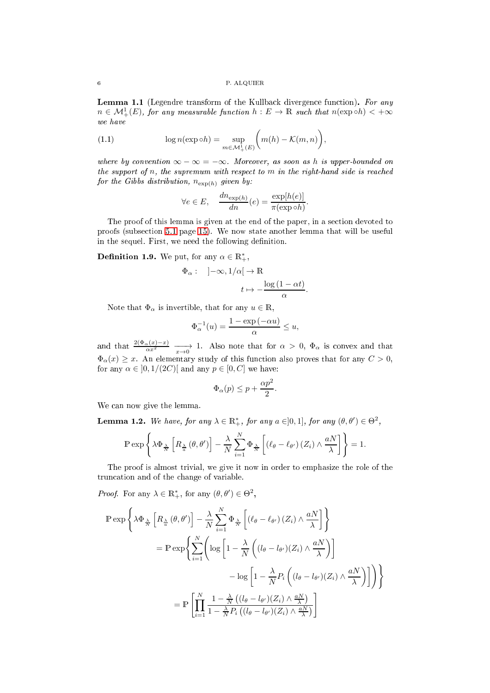<span id="page-5-0"></span>Lemma 1.1 (Legendre transform of the Kullback divergence function). For any  $n \in \mathcal{M}^1_+(E)$ , for any measurable function  $h : E \to \mathbb{R}$  such that  $n(\exp \circ h) < +\infty$ we have

(1.1) 
$$
\log n(\exp \circ h) = \sup_{m \in \mathcal{M}_+^1(E)} \bigg( m(h) - \mathcal{K}(m, n) \bigg),
$$

where by convention  $\infty - \infty = -\infty$ . Moreover, as soon as h is upper-bounded on the support of  $n$ , the supremum with respect to  $m$  in the right-hand side is reached for the Gibbs distribution,  $n_{\exp(h)}$  given by:

$$
\forall e \in E, \quad \frac{dn_{\exp(h)}}{dn}(e) = \frac{\exp[h(e)]}{\pi(\exp \circ h)}.
$$

The proof of this lemma is given at the end of the paper, in a section devoted to proofs (subse
tion [5.1](#page-14-1) page [15\)](#page-14-1). We now state another lemma that will be useful in the sequel. First, we need the following definition.

<span id="page-5-2"></span>**Definition 1.9.** We put, for any  $\alpha \in \mathbb{R}^*_+$ ,

$$
\begin{array}{cc} \Phi_{\alpha}: &\left]-\infty,1/\alpha\right[ \to \mathbb{R} \\ & \\ & t \mapsto -\frac{\log\left(1-\alpha t\right)}{\alpha}. \end{array}
$$

Note that  $\Phi_{\alpha}$  is invertible, that for any  $u \in \mathbb{R}$ ,

$$
\Phi_{\alpha}^{-1}(u) = \frac{1 - \exp(-\alpha u)}{\alpha} \le u,
$$

and that  $\frac{2(\Phi_{\alpha}(x)-x)}{\alpha x^2} \longrightarrow 1$ . Also note that for  $\alpha > 0$ ,  $\Phi_{\alpha}$  is convex and that  $\Phi_{\alpha}(x) \geq x$ . An elementary study of this function also proves that for any  $C > 0$ , for any  $\alpha \in [0, 1/(2C)]$  and any  $p \in [0, C]$  we have:

$$
\Phi_{\alpha}(p) \le p + \frac{\alpha p^2}{2}.
$$

We can now give the lemma.

<span id="page-5-1"></span>**Lemma 1.2.** We have, for any  $\lambda \in \mathbb{R}^*_+$ , for any  $a \in ]0,1]$ , for any  $(\theta, \theta') \in \Theta^2$ ,

$$
\mathbb{P}\exp\left\{\lambda\Phi_{\frac{\lambda}{N}}\left[R_{\frac{\lambda}{a}}\left(\theta,\theta'\right)\right]-\frac{\lambda}{N}\sum_{i=1}^{N}\Phi_{\frac{\lambda}{N}}\left[\left(\ell_{\theta}-\ell_{\theta'}\right)\left(Z_{i}\right)\wedge\frac{aN}{\lambda}\right]\right\}=1.
$$

The proof is almost trivial, we give it now in order to emphasize the role of the trun
ation and of the hange of variable.

*Proof.* For any  $\lambda \in \mathbb{R}^*_+$ , for any  $(\theta, \theta') \in \Theta^2$ ,

$$
\mathbb{P} \exp \left\{ \lambda \Phi_{\frac{\lambda}{N}} \left[ R_{\frac{\lambda}{\alpha}} \left( \theta, \theta' \right) \right] - \frac{\lambda}{N} \sum_{i=1}^{N} \Phi_{\frac{\lambda}{N}} \left[ \left( \ell_{\theta} - \ell_{\theta'} \right) \left( Z_{i} \right) \wedge \frac{aN}{\lambda} \right] \right\}
$$
\n
$$
= \mathbb{P} \exp \left\{ \sum_{i=1}^{N} \left( \log \left[ 1 - \frac{\lambda}{N} \left( (l_{\theta} - l_{\theta'})(Z_{i}) \wedge \frac{aN}{\lambda} \right) \right] - \log \left[ 1 - \frac{\lambda}{N} P_{i} \left( (l_{\theta} - l_{\theta'})(Z_{i}) \wedge \frac{aN}{\lambda} \right) \right] \right) \right\}
$$
\n
$$
= \mathbb{P} \left[ \prod_{i=1}^{N} \frac{1 - \frac{\lambda}{N} \left( (l_{\theta} - l_{\theta'})(Z_{i}) \wedge \frac{aN}{\lambda} \right)}{1 - \frac{\lambda}{N} P_{i} \left( (l_{\theta} - l_{\theta'})(Z_{i}) \wedge \frac{aN}{\lambda} \right)} \right]
$$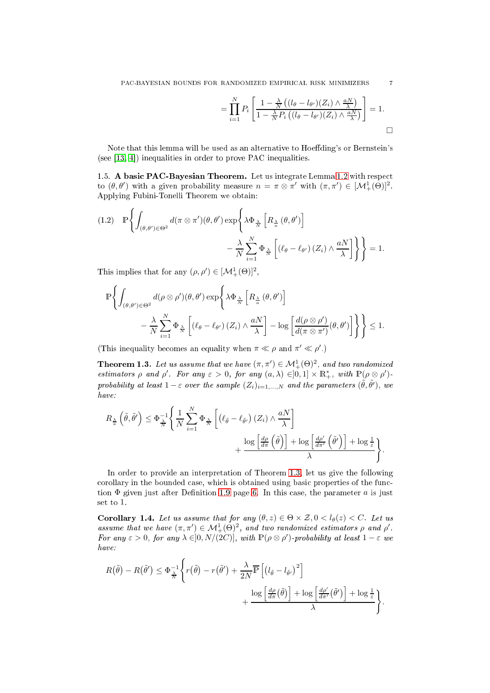$$
= \prod_{i=1}^{N} P_i \left[ \frac{1 - \frac{\lambda}{N} \left( (l_{\theta} - l_{\theta'}) (Z_i) \wedge \frac{aN}{\lambda} \right)}{1 - \frac{\lambda}{N} P_i \left( (l_{\theta} - l_{\theta'}) (Z_i) \wedge \frac{aN}{\lambda} \right)} \right] = 1.
$$

Note that this lemma will be used as an alternative to Hoeffding's or Bernstein's (see  $[13, 4]$  $[13, 4]$ ) inequalities in order to prove PAC inequalities.

<span id="page-6-0"></span>1.5. A basi PAC-Bayesian Theorem. Let us integrate Lemma [1.2](#page-5-1) with respe
t to  $(\theta, \theta')$  with a given probability measure  $n = \pi \otimes \pi'$  with  $(\pi, \pi') \in [\mathcal{M}^1_+(\Theta)]^2$ . Applying Fubini-Tonelli Theorem we obtain:

<span id="page-6-2"></span>(1.2) 
$$
\mathbb{P}\left\{\int_{(\theta,\theta')\in\Theta^2}d(\pi\otimes\pi')(\theta,\theta')\exp\left\{\lambda\Phi_{\frac{\lambda}{N}}\left[R_{\frac{\lambda}{\alpha}}(\theta,\theta')\right]\right.\right.\left.-\frac{\lambda}{N}\sum_{i=1}^N\Phi_{\frac{\lambda}{N}}\left[(\ell_\theta-\ell_{\theta'})(Z_i)\wedge\frac{aN}{\lambda}\right]\right\}\right\}=1.
$$

This implies that for any  $(\rho, \rho') \in [\mathcal{M}^1_+(\Theta)]^2$ ,

$$
\mathbb{P}\left\{\int_{(\theta,\theta')\in\Theta^2}d(\rho\otimes\rho')(\theta,\theta')\exp\left\{\lambda\Phi_{\frac{\lambda}{N}}\left[R_{\frac{\lambda}{\alpha}}(\theta,\theta')\right]\right.-\frac{\lambda}{N}\sum_{i=1}^N\Phi_{\frac{\lambda}{N}}\left[(\ell_\theta-\ell_{\theta'})(Z_i)\wedge\frac{aN}{\lambda}\right]-\log\left[\frac{d(\rho\otimes\rho')}{d(\pi\otimes\pi')}(\theta,\theta')\right]\right\}\right\}\leq 1.
$$

(This inequality becomes an equality when  $\pi \ll \rho$  and  $\pi' \ll \rho'$ .)

<span id="page-6-1"></span>**Theorem 1.3.** Let us assume that we have  $(\pi, \pi') \in M^1_+(\Theta)^2$ , and two randomized estimators  $\rho$  and  $\rho'$ . For any  $\varepsilon > 0$ , for any  $(a, \lambda) \in ]0,1] \times \mathbb{R}^*_+$ , with  $\mathbb{P}(\rho \otimes \rho')$ probability at least  $1-\varepsilon$  over the sample  $(Z_i)_{i=1,...,N}$  and the parameters  $(\tilde{\theta}, \tilde{\theta}')$ , we have:

$$
R_{\frac{\lambda}{a}}\left(\tilde{\theta},\tilde{\theta}'\right) \leq \Phi_{\frac{\lambda}{N}}^{-1}\left\{\frac{1}{N}\sum_{i=1}^{N}\Phi_{\frac{\lambda}{N}}\left[\left(\ell_{\tilde{\theta}}-\ell_{\tilde{\theta}'}\right)\left(Z_{i}\right)\wedge\frac{aN}{\lambda}\right] + \frac{\log\left[\frac{d\rho}{d\pi}\left(\tilde{\theta}\right)\right] + \log\left[\frac{d\rho'}{d\pi'}\left(\tilde{\theta}'\right)\right] + \log\frac{1}{\varepsilon}}{\lambda}\right\}.
$$

In order to provide an interpretation of Theorem [1.3,](#page-6-1) let us give the following corollary in the bounded case, which is obtained using basic properties of the function  $\Phi$  given just after Definition [1.9](#page-5-2) page [6.](#page-5-2) In this case, the parameter a is just set to 1.

Corollary 1.4. Let us assume that for any  $(\theta, z) \in \Theta \times \mathcal{Z}, 0 < l_{\theta}(z) < C$ . Let us assume that we have  $(\pi, \pi') \in \mathcal{M}^1_+(\Theta)^2$ , and two randomized estimators  $\rho$  and  $\rho'$ . For any  $\varepsilon > 0$ , for any  $\lambda \in ]0, N/(2C)]$ , with  $\mathbb{P}(\rho \otimes \rho')$ -probability at least  $1 - \varepsilon$  we have:

$$
R(\tilde{\theta}) - R(\tilde{\theta}') \leq \Phi_{\frac{\lambda}{N}}^{-1} \left\{ r(\tilde{\theta}) - r(\tilde{\theta}') + \frac{\lambda}{2N} \overline{\mathbb{P}} \left[ \left( l_{\tilde{\theta}} - l_{\tilde{\theta}'} \right)^2 \right] + \frac{\log \left[ \frac{d\rho'}{d\pi}(\tilde{\theta}) \right] + \log \left[ \frac{d\rho'}{d\pi'}(\tilde{\theta}') \right] + \log \frac{1}{\varepsilon}}{\lambda} \right\}.
$$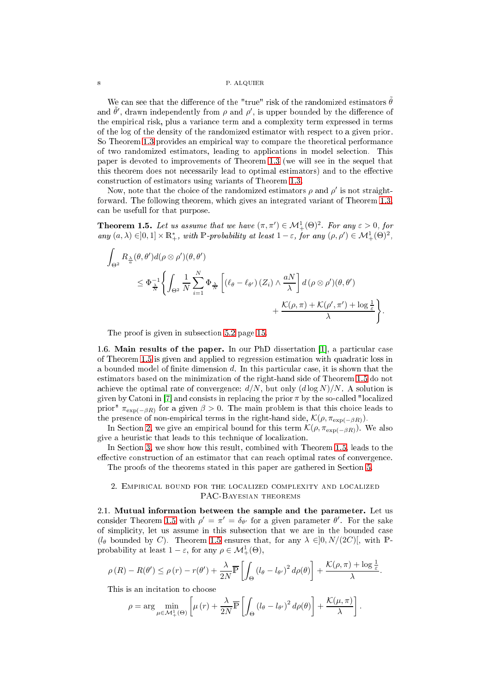We can see that the difference of the "true" risk of the randomized estimators  $\tilde{\theta}$ and  $\tilde{\theta}'$ , drawn independently from  $\rho$  and  $\rho'$ , is upper bounded by the difference of the empiri
al risk, plus a varian
e term and a omplexity term expressed in terms of the log of the density of the randomized estimator with respe
t to a given prior. So Theorem [1.3](#page-6-1) provides an empirical way to compare the theoretical performance of two randomized estimators, leading to appli
ations in model sele
tion. This paper is devoted to improvements of Theorem [1.3](#page-6-1) (we will see in the sequel that this theorem does not necessarily lead to optimal estimators) and to the effective onstru
tion of estimators using variants of Theorem [1.3.](#page-6-1)

Now, note that the choice of the randomized estimators  $\rho$  and  $\rho'$  is not straightforward. The following theorem, whi
h gives an integrated variant of Theorem [1.3,](#page-6-1) an be usefull for that purpose.

<span id="page-7-3"></span>**Theorem 1.5.** Let us assume that we have  $(\pi, \pi') \in M^1_+(\Theta)^2$ . For any  $\varepsilon > 0$ , for any  $(a, \lambda) \in ]0,1] \times \mathbb{R}_+^*$ , with P-probability at least  $1-\varepsilon$ , for any  $(\rho, \rho') \in \mathcal{M}_+^1(\Theta)^2$ ,

$$
\int_{\Theta^2} R_{\frac{\lambda}{\alpha}}(\theta, \theta') d(\rho \otimes \rho')(\theta, \theta')
$$
\n
$$
\leq \Phi_{\frac{\lambda}{N}}^{-1} \Biggl\{ \int_{\Theta^2} \frac{1}{N} \sum_{i=1}^N \Phi_{\frac{\lambda}{N}} \left[ (\ell_{\theta} - \ell_{\theta'}) (Z_i) \wedge \frac{aN}{\lambda} \right] d(\rho \otimes \rho')(\theta, \theta')
$$
\n
$$
+ \frac{\mathcal{K}(\rho, \pi) + \mathcal{K}(\rho', \pi') + \log \frac{1}{\varepsilon}}{\lambda} \Biggr\}.
$$

The proof is given in subse
tion [5.2](#page-14-2) page [15.](#page-14-2)

<span id="page-7-0"></span>1.6. Main results of the paper. In our PhD dissertation  $[1]$ , a particular case of Theorem [1.5](#page-7-3) is given and applied to regression estimation with quadratic loss in a bounded model of finite dimension  $d$ . In this particular case, it is shown that the estimators based on the minimization of the right-hand side of Theorem [1.5](#page-7-3) do not achieve the optimal rate of convergence:  $d/N$ , but only  $(d \log N)/N$ . A solution is given by Catoni in [7] and consists in replacing the prior  $\pi$  by the so-called "localized prior"  $\pi_{\exp(-\beta R)}$  for a given  $\beta > 0$ . The main problem is that this choice leads to the presence of non-empirical terms in the right-hand side,  $\mathcal{K}(\rho, \pi_{\exp(-\beta R)})$ .

In Section [2,](#page-7-1) we give an empirical bound for this term  $\mathcal{K}(\rho, \pi_{\exp(-\beta R)})$ . We also give a heuristic that leads to this technique of localization.

In Section [3,](#page-11-0) we show how this result, combined with Theorem [1.5,](#page-7-3) leads to the effective construction of an estimator that can reach optimal rates of convergence. The proofs of the theorems stated in this paper are gathered in Section [5.](#page-14-0)

<span id="page-7-1"></span>2. EMPIRICAL BOUND FOR THE LOCALIZED COMPLEXITY AND LOCALIZED PAC-Bayesian theorems

<span id="page-7-2"></span>2.1. Mutual information between the sample and the parameter. Let us consider Theorem [1.5](#page-7-3) with  $\rho' = \pi' = \delta_{\theta'}$  for a given parameter  $\theta'$ . For the sake of simplicity, let us assume in this subsection that we are in the bounded case  $(l_{\theta}$  bounded by C). Theorem [1.5](#page-7-3) ensures that, for any  $\lambda \in ]0, N/(2C)[$ , with Pprobability at least  $1 - \varepsilon$ , for any  $\rho \in \mathcal{M}^1_+(\Theta)$ ,

$$
\rho(R) - R(\theta') \le \rho(r) - r(\theta') + \frac{\lambda}{2N} \overline{\mathbb{P}} \left[ \int_{\Theta} \left( l_{\theta} - l_{\theta'} \right)^2 d\rho(\theta) \right] + \frac{\mathcal{K}(\rho, \pi) + \log \frac{1}{\varepsilon}}{\lambda}.
$$

This is an incitation to choose

$$
\rho = \arg \min_{\mu \in \mathcal{M}_+^1(\Theta)} \left[ \mu(r) + \frac{\lambda}{2N} \overline{\mathbb{P}} \left[ \int_{\Theta} \left( l_{\theta} - l_{\theta'} \right)^2 d\rho(\theta) \right] + \frac{\mathcal{K}(\mu, \pi)}{\lambda} \right].
$$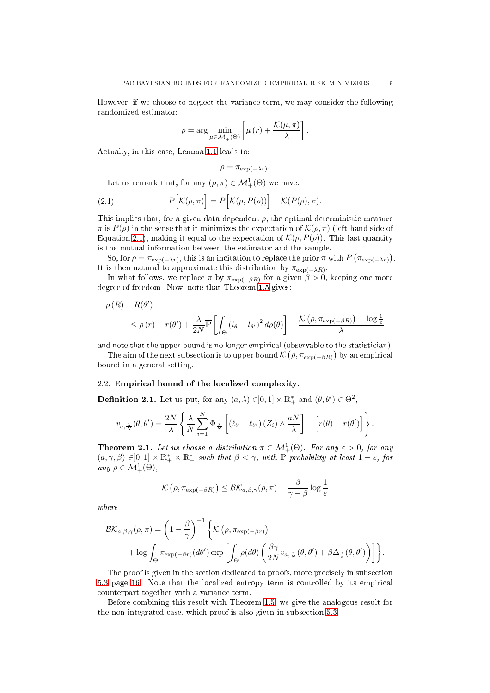However, if we hoose to negle
t the varian
e term, we may onsider the following randomized estimator:

$$
\rho = \arg \min_{\mu \in \mathcal{M}_{+}^{1}(\Theta)} \left[ \mu(r) + \frac{\mathcal{K}(\mu, \pi)}{\lambda} \right].
$$

A
tually, in this ase, Lemma [1.1](#page-5-0) leads to:

<span id="page-8-2"></span>
$$
\rho = \pi_{\exp(-\lambda r)}.
$$

Let us remark that, for any  $(\rho, \pi) \in \mathcal{M}^1_+(\Theta)$  we have:

(2.1) 
$$
P\Big[\mathcal{K}(\rho,\pi)\Big] = P\Big[\mathcal{K}(\rho,P(\rho))\Big] + \mathcal{K}(P(\rho),\pi).
$$

This implies that, for a given data-dependent  $\rho$ , the optimal deterministic measure  $\pi$  is  $P(\rho)$  in the sense that it minimizes the expectation of  $\mathcal{K}(\rho, \pi)$  (left-hand side of Equation [2.1\)](#page-8-2), making it equal to the expectation of  $\mathcal{K}(\rho, P(\rho))$ . This last quantity is the mutual information between the estimator and the sample.

So, for  $\rho = \pi_{\exp(-\lambda r)}$ , this is an incitation to replace the prior  $\pi$  with  $P(\pi_{\exp(-\lambda r)})$ . It is then natural to approximate this distribution by  $\pi_{\exp(-\lambda R)}$ .

In what follows, we replace  $\pi$  by  $\pi_{\exp(-\beta R)}$  for a given  $\beta > 0$ , keeping one more degree of freedom. Now, note that Theorem [1.5](#page-7-3) gives:

$$
\rho(R) - R(\theta')
$$
  
\n
$$
\leq \rho(r) - r(\theta') + \frac{\lambda}{2N} \overline{\mathbb{P}} \left[ \int_{\Theta} (l_{\theta} - l_{\theta'})^2 d\rho(\theta) \right] + \frac{\mathcal{K} \left( \rho, \pi_{\exp(-\beta R)} \right) + \log \frac{1}{\varepsilon}}{\lambda}
$$

and note that the upper bound is no longer empirical (observable to the statistician).

The aim of the next subsection is to upper bound  $\mathcal{K}\left(\rho, \pi_{\exp(-\beta R)}\right)$  by an empirical bound in a general setting.

## <span id="page-8-0"></span>2.2. Empiri
al bound of the lo
alized omplexity.

**Definition 2.1.** Let us put, for any  $(a, \lambda) \in ]0,1] \times \mathbb{R}^*_+$  and  $(\theta, \theta') \in \Theta^2$ ,

$$
v_{a,\frac{\lambda}{N}}(\theta,\theta')=\frac{2N}{\lambda}\left\{\frac{\lambda}{N}\sum_{i=1}^{N}\Phi_{\frac{\lambda}{N}}\left[\left(\ell_{\theta}-\ell_{\theta'}\right)\left(Z_{i}\right)\wedge\frac{aN}{\lambda}\right]-\left[r(\theta)-r(\theta')\right]\right\}.
$$

<span id="page-8-1"></span>**Theorem 2.1.** Let us choose a distribution  $\pi \in \mathcal{M}^1_+(\Theta)$ . For any  $\varepsilon > 0$ , for any  $(a, \gamma, \beta) \in ]0,1] \times \mathbb{R}_+^* \times \mathbb{R}_+^*$  such that  $\beta < \gamma$ , with P-probability at least  $1-\varepsilon$ , for any  $\rho \in \mathcal{M}^1_+(\Theta)$ ,

$$
\mathcal{K}(\rho, \pi_{\exp(-\beta R)}) \leq \mathcal{B}\mathcal{K}_{a,\beta,\gamma}(\rho, \pi) + \frac{\beta}{\gamma - \beta} \log \frac{1}{\varepsilon}
$$

where

$$
\mathcal{BK}_{a,\beta,\gamma}(\rho,\pi) = \left(1 - \frac{\beta}{\gamma}\right)^{-1} \left\{ \mathcal{K}\left(\rho, \pi_{\exp(-\beta r)}\right) + \log \int_{\Theta} \pi_{\exp(-\beta r)}(d\theta') \exp\left[\int_{\Theta} \rho(d\theta) \left(\frac{\beta \gamma}{2N} v_{a,\frac{\gamma}{N}}(\theta, \theta') + \beta \Delta_{\frac{\gamma}{a}}(\theta, \theta')\right) \right] \right\}.
$$

The proof is given in the se
tion dedi
ated to proofs, more pre
isely in subse
tion [5.3](#page-15-0) page [16.](#page-15-0) Note that the localized entropy term is controlled by its empirical ounterpart together with a varian
e term.

Before ombining this result with Theorem [1.5,](#page-7-3) we give the analogous result for the non-integrated ase, whi
h proof is also given in subse
tion [5.3.](#page-15-0)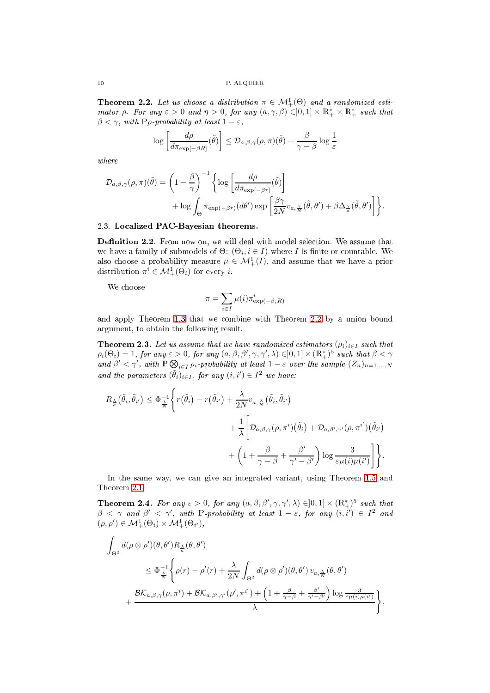<span id="page-9-1"></span>**Theorem 2.2.** Let us choose a distribution  $\pi \in \mathcal{M}_{+}^{1}(\Theta)$  and a randomized estimator  $\rho$ . For any  $\varepsilon > 0$  and  $\eta > 0$ , for any  $(a, \gamma, \beta) \in ]0,1] \times \mathbb{R}_+^* \times \mathbb{R}_+^*$  such that  $\beta < \gamma$ , with P $\rho$ -probability at least  $1 - \varepsilon$ ,

$$
\log \left[ \frac{d\rho}{d\pi_{\exp[-\beta R]}} (\tilde{\theta}) \right] \leq \mathcal{D}_{a,\beta,\gamma}(\rho,\pi)(\tilde{\theta}) + \frac{\beta}{\gamma - \beta} \log \frac{1}{\varepsilon}
$$

where

$$
\mathcal{D}_{a,\beta,\gamma}(\rho,\pi)(\tilde{\theta}) = \left(1 - \frac{\beta}{\gamma}\right)^{-1} \left\{ \log \left[\frac{d\rho}{d\pi_{\exp[-\beta r]}}(\tilde{\theta})\right] + \log \int_{\Theta} \pi_{\exp(-\beta r)}(d\theta') \exp \left[\frac{\beta \gamma}{2N} v_{a,\frac{\gamma}{N}}(\tilde{\theta},\theta') + \beta \Delta_{\frac{\gamma}{a}}(\tilde{\theta},\theta')\right] \right\}.
$$

# <span id="page-9-0"></span>2.3. Localized PAC-Bayesian theorems.

**Definition 2.2.** From now on, we will deal with model selection. We assume that we have a family of submodels of  $\Theta$ :  $(\Theta_i, i \in I)$  where *I* is finite or countable. We also choose a probability measure  $\mu \in \mathcal{M}^1_+(I)$ , and assume that we have a prior distribution  $\pi^i \in \mathcal{M}^1_+(\Theta_i)$  for every *i*.

We choose

$$
\pi = \sum_{i \in I} \mu(i) \pi_{\exp(-\beta_i R)}^i
$$

and apply Theorem [1.3](#page-6-1) that we ombine with Theorem [2.2](#page-9-1) by a union bound argument, to obtain the following result.

<span id="page-9-2"></span>**Theorem 2.3.** Let us assume that we have randomized estimators  $(\rho_i)_{i \in I}$  such that  $\rho_i(\Theta_i) = 1$ , for any  $\varepsilon > 0$ , for any  $(a, \beta, \beta', \gamma, \gamma', \lambda) \in ]0,1] \times (\mathbb{R}^*_+)^5$  such that  $\beta < \gamma$ and  $\beta' < \gamma'$ , with  $\mathbb{P} \bigotimes_{i \in I} \rho_i$ -probability at least  $1 - \varepsilon$  over the sample  $(Z_n)_{n=1,...,N}$ and the parameters  $(\tilde{\theta}_i)_{i \in I}$ , for any  $(i, i') \in I^2$  we have:

$$
R_{\frac{\lambda}{a}}(\tilde{\theta}_{i}, \tilde{\theta}_{i'}) \leq \Phi_{\frac{\lambda}{N}}^{-1} \Biggl\{ r(\tilde{\theta}_{i}) - r(\tilde{\theta}_{i'}) + \frac{\lambda}{2N} v_{a, \frac{\lambda}{N}}(\tilde{\theta}_{i}, \tilde{\theta}_{i'}) + \frac{1}{\lambda} \Biggl[ D_{a, \beta, \gamma}(\rho, \pi^{i})(\tilde{\theta}_{i}) + D_{a, \beta', \gamma'}(\rho, \pi^{i'})(\tilde{\theta}_{i'}) + \left( 1 + \frac{\beta}{\gamma - \beta} + \frac{\beta'}{\gamma' - \beta'} \right) \log \frac{3}{\varepsilon \mu(i) \mu(i')} \Biggr] \Biggr\}.
$$

In the same way, we can give an integrated variant, using Theorem [1.5](#page-7-3) and Theorem [2.1.](#page-8-1)

<span id="page-9-3"></span>**Theorem 2.4.** For any  $\varepsilon > 0$ , for any  $(a, \beta, \beta', \gamma, \gamma', \lambda) \in ]0, 1] \times (\mathbb{R}^*_+)^5$  such that  $\beta < \gamma$  and  $\beta' < \gamma'$ , with  $\mathbb{P}$ -probability at least  $1 - \varepsilon$ , for any  $(i, i') \in I^2$  and  $(\rho, \rho') \in \mathcal{M}_+^1(\Theta_i) \times \mathcal{M}_+^1(\Theta_{i$ 

$$
\int_{\Theta^2} d(\rho \otimes \rho')(\theta, \theta') R_{\frac{\lambda}{\alpha}}(\theta, \theta')
$$
\n
$$
\leq \Phi_{\frac{\lambda}{N}}^{-1} \Biggl\{ \rho(r) - \rho'(r) + \frac{\lambda}{2N} \int_{\Theta^2} d(\rho \otimes \rho')(\theta, \theta') \, v_{a, \frac{\lambda}{N}}(\theta, \theta')
$$
\n
$$
+ \frac{\mathcal{B} \mathcal{K}_{a, \beta, \gamma}(\rho, \pi^i) + \mathcal{B} \mathcal{K}_{a, \beta', \gamma'}(\rho', \pi^{i'}) + \left(1 + \frac{\beta}{\gamma - \beta} + \frac{\beta'}{\gamma' - \beta'}\right) \log \frac{3}{\varepsilon \mu(i) \mu(i')}}{\lambda} \Biggr\}.
$$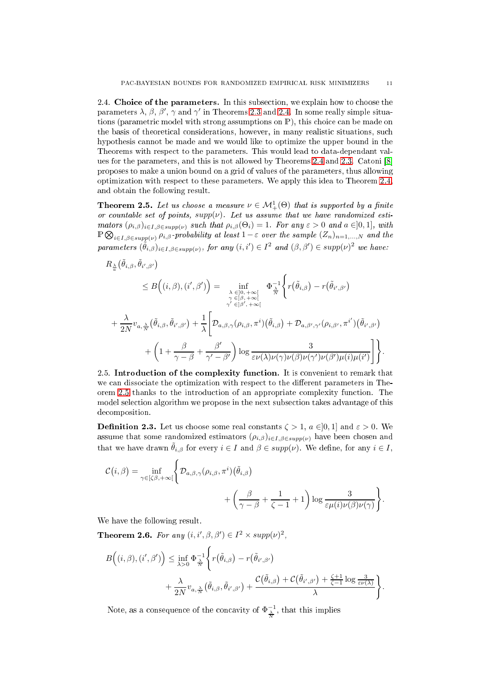<span id="page-10-0"></span>2.4. Choice of the parameters. In this subsection, we explain how to choose the parameters  $\lambda$ ,  $\beta$ ,  $\beta'$ ,  $\gamma$  and  $\gamma'$  in Theorems [2.3](#page-9-2) and [2.4.](#page-9-3) In some really simple situations (parametric model with strong assumptions on P), this choice can be made on the basis of theoretical considerations, however, in many realistic situations, such hypothesis annot be made and we would like to optimize the upper bound in the Theorems with respe
t to the parameters. This would lead to data-dependant val-ues for the parameters, and this is not allowed by Theorems [2.4](#page-9-3) and [2.3.](#page-9-2) Catoni  $[8]$ proposes to make a union bound on a grid of values of the parameters, thus allowing optimization with respe
t to these parameters. We apply this idea to Theorem [2.4,](#page-9-3) and obtain the following result.

<span id="page-10-2"></span>**Theorem 2.5.** Let us choose a measure  $\nu \in \mathcal{M}^1_+(\Theta)$  that is supported by a finite or countable set of points,  $supp(\nu)$ . Let us assume that we have randomized estimators  $(\rho_{i,\beta})_{i\in I,\beta\in \text{supp}(\nu)}$  such that  $\rho_{i,\beta}(\Theta_i)=1$ . For any  $\varepsilon>0$  and  $a\in]0,1]$ , with  $\mathbb{P} \bigotimes_{i \in I, \beta \in supp(\nu)} \rho_{i,\beta}$ -probability at least  $1-\varepsilon$  over the sample  $(Z_n)_{n=1,...,N}$  and the parameters  $(\tilde{\theta}_{i,\beta})_{i\in I,\beta\in supp(\nu)},$  for any  $(i,i')\in I^2$  and  $(\beta,\beta')\in supp(\nu)^2$  we have:

$$
R_{\frac{\lambda}{\alpha}}(\tilde{\theta}_{i,\beta}, \tilde{\theta}_{i',\beta'}) \leq B((i,\beta), (i',\beta')) = \inf_{\substack{\lambda \in [0,+\infty[\\ \gamma' \in ]\beta, +\infty[\\ \gamma' \in ]\beta', +\infty[}} \Phi_{\frac{\lambda}{\alpha}}^{-1} \Biggl\{ r(\tilde{\theta}_{i,\beta}) - r(\tilde{\theta}_{i',\beta'}) \newline + \frac{\lambda}{2N} v_{a,\frac{\lambda}{N}}(\tilde{\theta}_{i,\beta}, \tilde{\theta}_{i',\beta'}) + \frac{1}{\lambda} \Biggl[ D_{a,\beta,\gamma}(\rho_{i,\beta}, \pi^i) (\tilde{\theta}_{i,\beta}) + D_{a,\beta',\gamma'}(\rho_{i,\beta'}, \pi^{i'}) (\tilde{\theta}_{i',\beta'}) \newline + \left( 1 + \frac{\beta}{\gamma - \beta} + \frac{\beta'}{\gamma' - \beta'} \right) \log \frac{3}{\varepsilon \nu(\lambda) \nu(\gamma) \nu(\beta) \nu(\gamma') \nu(\beta') \mu(i) \mu(i')} \Biggr] \Biggr\}.
$$

<span id="page-10-1"></span>2.5. Introduction of the complexity function. It is convenient to remark that we can dissociate the optimization with respect to the different parameters in The-orem [2.5](#page-10-2) thanks to the introduction of an appropriate complexity function. The model sele
tion algorithm we propose in the next subse
tion takes advantage of this decomposition.

**Definition 2.3.** Let us choose some real constants  $\zeta > 1$ ,  $a \in ]0,1]$  and  $\varepsilon > 0$ . We assume that some randomized estimators  $(\rho_{i,\beta})_{i\in I,\beta\in supp(\nu)}$  have been chosen and that we have drawn  $\tilde{\theta}_{i,\beta}$  for every  $i \in I$  and  $\beta \in supp(\nu)$ . We define, for any  $i \in I$ ,

$$
\mathcal{C}(i,\beta) = \inf_{\gamma \in [\zeta\beta, +\infty[\left\{\mathcal{D}_{a,\beta,\gamma}(\rho_{i,\beta}, \pi^i) \left(\tilde{\theta}_{i,\beta}\right)\right\}\n+ \left(\frac{\beta}{\gamma - \beta} + \frac{1}{\zeta - 1} + 1\right) \log \frac{3}{\varepsilon \mu(i)\nu(\beta)\nu(\gamma)}\right\}.
$$

We have the following result.

**Theorem 2.6.** For any  $(i, i', \beta, \beta') \in I^2 \times supp(\nu)^2$ ,

$$
B((i, \beta), (i', \beta')) \leq \inf_{\lambda > 0} \Phi_{\frac{\lambda}{N}}^{-1} \left\{ r(\tilde{\theta}_{i, \beta}) - r(\tilde{\theta}_{i', \beta'}) + \frac{\lambda}{2N} v_{a, \frac{\lambda}{N}}(\tilde{\theta}_{i, \beta}, \tilde{\theta}_{i', \beta'}) + \frac{\mathcal{C}(\tilde{\theta}_{i, \beta}) + \mathcal{C}(\tilde{\theta}_{i', \beta'}) + \frac{\zeta + 1}{\zeta - 1} \log \frac{\delta}{\varepsilon \nu(\lambda)}}{\lambda} \right\}.
$$

Note, as a consequence of the concavity of  $\Phi_{\frac{\lambda}{N}}^{-1}$ , that this implies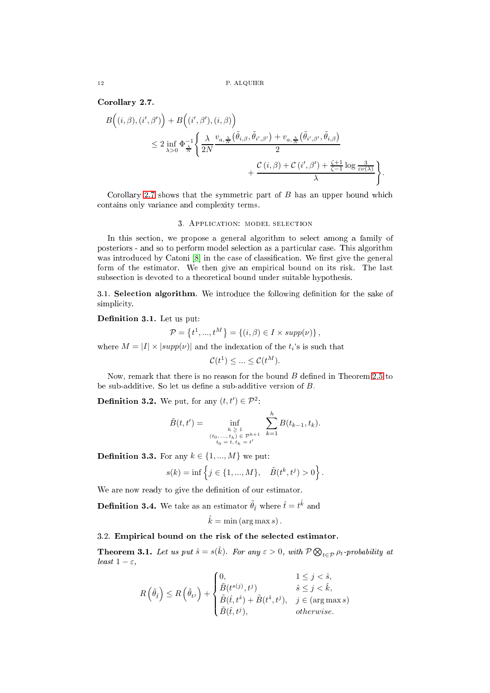## <span id="page-11-3"></span>Corollary 2.7.

$$
B\left((i, \beta), (i', \beta')\right) + B\left((i', \beta'), (i, \beta)\right)
$$
  
\n
$$
\leq 2 \inf_{\lambda > 0} \Phi_{\frac{\lambda}{N}}^{-1} \left\{ \frac{\lambda}{2N} \frac{v_{a, \frac{\lambda}{N}}(\tilde{\theta}_{i, \beta}, \tilde{\theta}_{i', \beta'}) + v_{a, \frac{\lambda}{N}}(\tilde{\theta}_{i', \beta'}, \tilde{\theta}_{i, \beta})}{2} + \frac{\mathcal{C}(i, \beta) + \mathcal{C}(i', \beta') + \frac{\zeta + 1}{\zeta - 1} \log \frac{3}{\varepsilon \nu(\lambda)}}{\lambda} \right\}.
$$

<span id="page-11-0"></span>Corollary [2.7](#page-11-3) shows that the symmetric part of  $B$  has an upper bound which ontains only varian
e and omplexity terms.

#### 3. APPLICATION: MODEL SELECTION

In this se
tion, we propose a general algorithm to sele
t among a family of posteriors - and so to perform model selection as a particular case. This algorithm was introduced by Catoni  $[8]$  in the case of classification. We first give the general form of the estimator. We then give an empirical bound on its risk. The last subsection is devoted to a theoretical bound under suitable hypothesis.

<span id="page-11-1"></span>3.1. Selection algorithm. We introduce the following definition for the sake of simplicity.

Definition 3.1. Let us put:

$$
\mathcal{P} = \left\{ t^1, ..., t^M \right\} = \left\{ (i, \beta) \in I \times \text{supp}(\nu) \right\},\
$$

where  $M = |I| \times |supp(\nu)|$  and the indexation of the  $t_i$ 's is such that

$$
\mathcal{C}(t^1) \le \dots \le \mathcal{C}(t^M).
$$

Now, remark that there is no reason for the bound  $B$  defined in Theorem [2.5](#page-10-2) to be sub-additive. So let us define a sub-additive version of  $B$ .

**Definition 3.2.** We put, for any  $(t, t') \in \mathcal{P}^2$ :

$$
\tilde{B}(t,t') = \inf_{\substack{h \geq 1 \\ (t_0, \ldots, t_h) \in \mathcal{P}^{h+1} \\ t_0 = t, t_h = t'}} \sum_{k=1}^n B(t_{k-1}, t_k).
$$

h

**Definition 3.3.** For any  $k \in \{1, ..., M\}$  we put:

$$
s(k) = \inf \left\{ j \in \{1, ..., M\}, \quad \tilde{B}(t^k, t^j) > 0 \right\}.
$$

We are now ready to give the definition of our estimator.

**Definition 3.4.** We take as an estimator  $\tilde{\theta}_t$  where  $\hat{t} = t^{\hat{k}}$  and

$$
\hat{k} = \min(\arg\max s).
$$

# <span id="page-11-2"></span>3.2. Empiri
al bound on the risk of the sele
ted estimator.

<span id="page-11-4"></span>**Theorem 3.1.** Let us put  $\hat{s} = s(\hat{k})$ . For any  $\varepsilon > 0$ , with  $\mathcal{P} \bigotimes_{t \in \mathcal{P}} \rho_t$ -probability at least  $1 - \varepsilon$ ,

$$
R\left(\tilde{\theta}_{\hat{t}}\right) \leq R\left(\tilde{\theta}_{t^j}\right) + \begin{cases} 0, & 1 \leq j < \hat{s}, \\ \tilde{B}(t^{s(j)}, t^j) & \hat{s} \leq j < \hat{k}, \\ \tilde{B}(\hat{t}, t^{\hat{s}}) + \tilde{B}(t^{\hat{s}}, t^j), & j \in (\arg \max s) \\ \tilde{B}(\hat{t}, t^j), & otherwise. \end{cases}
$$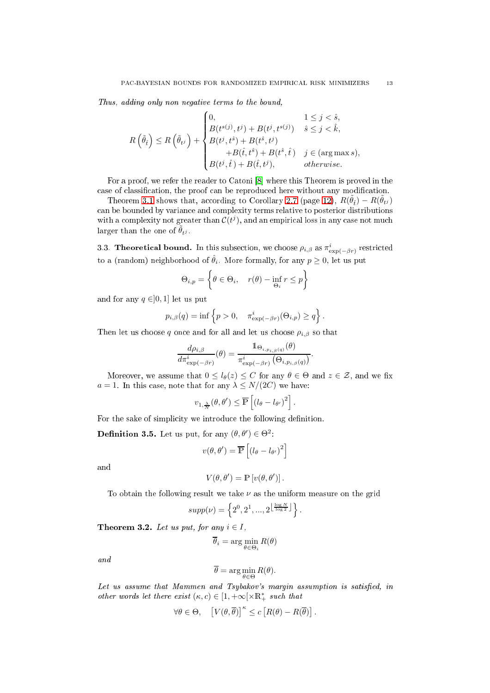Thus, adding only non negative terms to the bound,

$$
R\left(\tilde{\theta}_{i}\right) \leq R\left(\tilde{\theta}_{t^{j}}\right) + \begin{cases} 0, & 1 \leq j < \hat{s}, \\ B(t^{s(j)}, t^{j}) + B(t^{j}, t^{s(j)}) & \hat{s} \leq j < \hat{k}, \\ B(t^{j}, t^{\hat{s}}) + B(t^{\hat{s}}, t^{j}) & +B(t^{\hat{s}}, \hat{t}) & j \in (\arg \max s), \\ B(t^{j}, \hat{t}) + B(\hat{t}, t^{j}), & otherwise. \end{cases}
$$

For a proof, we refer the reader to Catoni [8] where this Theorem is proved in the case of classification, the proof can be reproduced here without any modification.

Theorem [3.1](#page-11-4) shows that, according to Corollary [2.7](#page-11-3) (page [12\)](#page-11-3),  $R(\tilde{\theta}_t) - R(\tilde{\theta}_{t^j})$ an be bounded by varian
e and omplexity terms relative to posterior distributions with a complexity not greater than  $\mathcal{C}(t^j)$ , and an empirical loss in any case not much larger than the one of  $\tilde{\theta}_{tj}$ .

<span id="page-12-0"></span>3.3. Theoretical bound. In this subsection, we choose  $\rho_{i,\beta}$  as  $\pi_{\exp(-\beta r)}^i$  restricted to a (random) neighborhood of  $\hat{\theta}_i$ . More formally, for any  $p\geq 0,$  let us put

$$
\Theta_{i,p} = \left\{ \theta \in \Theta_i, \quad r(\theta) - \inf_{\Theta_i} r \le p \right\}
$$

and for any  $q \in ]0,1]$  let us put

$$
p_{i,\beta}(q) = \inf \left\{ p > 0, \quad \pi_{\exp(-\beta r)}^i(\Theta_{i,p}) \geq q \right\}.
$$

Then let us choose q once and for all and let us choose  $\rho_{i,\beta}$  so that

$$
\frac{d\rho_{i,\beta}}{d\pi_{\exp(-\beta r)}^i}(\theta) = \frac{\mathbb{1}_{\Theta_{i,p_{i,\beta}(q)}}(\theta)}{\pi_{\exp(-\beta r)}^i(\Theta_{i,p_{i,\beta}(q)})}.
$$

Moreover, we assume that  $0 \leq l_{\theta}(z) \leq C$  for any  $\theta \in \Theta$  and  $z \in \mathcal{Z}$ , and we fix  $a = 1$ . In this case, note that for any  $\lambda \leq N/(2C)$  we have:

$$
v_{1,\frac{\lambda}{N}}(\theta,\theta')\leq \overline{\mathbb{P}}\left[\left(l_{\theta}-l_{\theta'}\right)^2\right].
$$

For the sake of simplicity we introduce the following definition.

**Definition 3.5.** Let us put, for any  $(\theta, \theta') \in \Theta^2$ :

$$
v(\theta, \theta') = \overline{\mathbb{P}}\left[ \left( l_{\theta} - l_{\theta'} \right)^2 \right]
$$

and

$$
V(\theta, \theta') = \mathbb{P}\left[v(\theta, \theta')\right].
$$

To obtain the following result we take  $\nu$  as the uniform measure on the grid

$$
supp(\nu) = \left\{2^0, 2^1, ..., 2^{\left\lfloor \frac{\log N}{\log 2} \right\rfloor} \right\}.
$$

<span id="page-12-1"></span>Theorem 3.2. Let us put, for any  $i \in I$ ,

$$
\overline{\theta}_i = \arg\min_{\theta \in \Theta_i} R(\theta)
$$

and

$$
\overline{\theta} = \arg\min_{\theta \in \Theta} R(\theta).
$$

Let us assume that Mammen and Tsybakov's margin assumption is satisfied, in other words let there exist  $(\kappa, c) \in [1, +\infty[ \times \mathbb{R}^*_+$  such that

$$
\forall \theta \in \Theta, \quad \left[ V(\theta, \overline{\theta}) \right]^{\kappa} \leq c \left[ R(\theta) - R(\overline{\theta}) \right].
$$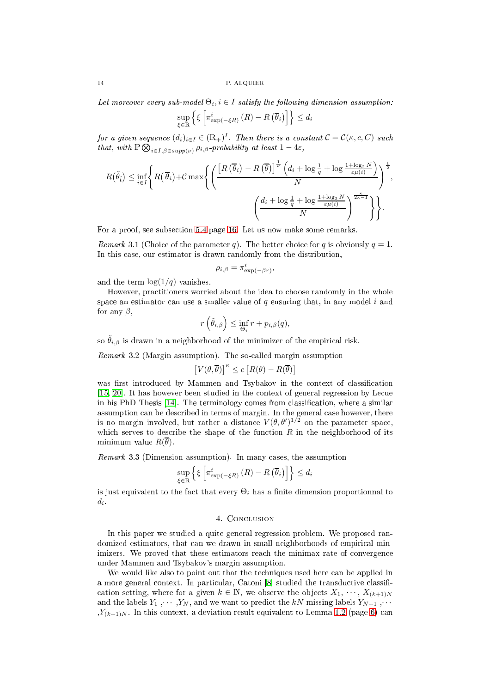Let moreover every sub-model  $\Theta_i, i \in I$  satisfy the following dimension assumption:

$$
\sup_{\xi \in \mathbb{R}} \left\{ \xi \left[ \pi_{\exp(-\xi R)}^{i} \left( R \right) - R \left( \overline{\theta}_{i} \right) \right] \right\} \leq d_{i}
$$

for a given sequence  $(d_i)_{i\in I}\in (\mathbb{R}_+)^I$ . Then there is a constant  $\mathcal{C}=\mathcal{C}(\kappa,c,C)$  such that, with  $\mathbb{P} \bigotimes_{i \in I, \beta \in supp(\nu)} \rho_{i,\beta}$ -probability at least  $1-4\varepsilon$ ,

$$
R(\tilde{\theta}_{\hat{t}}) \leq \inf_{i \in I} \left\{ R(\overline{\theta}_{i}) + C \max \left\{ \left( \frac{\left[R(\overline{\theta}_{i}) - R(\overline{\theta})\right]^{\frac{1}{\kappa}} \left(d_{i} + \log \frac{1}{q} + \log \frac{1 + \log_{2} N}{\varepsilon \mu(i)}\right)}{N} \right)^{\frac{1}{2}}, \right. \\ \left. \left. \left( \frac{d_{i} + \log \frac{1}{q} + \log \frac{1 + \log_{2} N}{\varepsilon \mu(i)}}{N} \right)^{\frac{\kappa}{2\kappa - 1}} \right\} \right\}.
$$

For a proof, see subse
tion [5.4](#page-15-1) page [16.](#page-15-1) Let us now make some remarks.

*Remark* 3.1 (Choice of the parameter q). The better choice for q is obviously  $q = 1$ . In this ase, our estimator is drawn randomly from the distribution,

$$
\rho_{i,\beta} = \pi_{\exp(-\beta r)}^i,
$$

and the term  $\log(1/q)$  vanishes.

However, pra
titioners worried about the idea to hoose randomly in the whole space an estimator can use a smaller value of  $q$  ensuring that, in any model i and for any  $\beta$ ,

$$
r\left(\tilde{\theta}_{i,\beta}\right) \leq \inf_{\Theta_i} r + p_{i,\beta}(q),
$$

so  $\tilde{\theta}_{i,\beta}$  is drawn in a neighborhood of the minimizer of the empirical risk.

Remark 3.2 (Margin assumption). The so-called margin assumption

$$
\left[V(\theta,\overline{\theta})\right]^\kappa \leq c \left[R(\theta)-R(\overline{\theta})\right]
$$

was first introduced by Mammen and Tsybakov in the context of classification  $[15, 20]$  $[15, 20]$ . It has however been studied in the context of general regression by Lecue in his PhD Thesis [14]. The terminology comes from classification, where a similar assumption can be described in terms of margin. In the general case however, there is no margin involved, but rather a distance  $V(\theta, \theta')^{1/2}$  on the parameter space, which serves to describe the shape of the function  $R$  in the neighborhood of its minimum value  $R(\overline{\theta})$ .

*Remark* 3.3 (Dimension assumption). In many cases, the assumption

$$
\sup_{\xi \in \mathbb{R}} \left\{ \xi \left[ \pi_{\exp(-\xi R)}^{i} \left( R \right) - R \left( \overline{\theta}_{i} \right) \right] \right\} \le d_{i}
$$

<span id="page-13-0"></span>is just equivalent to the fact that every  $\Theta_i$  has a finite dimension proportionnal to  $d_i$ .

# 4. CONCLUSION

In this paper we studied a quite general regression problem. We proposed randomized estimators, that can we drawn in small neighborhoods of empirical minimizers. We proved that these estimators reach the minimax rate of convergence under Mammen and Tsybakov's margin assumption.

We would like also to point out that the techniques used here can be applied in a more general context. In particular, Catoni [8] studied the transductive classification setting, where for a given  $k \in \mathbb{N}$ , we observe the objects  $X_1, \cdots, X_{(k+1)N}$ and the labels  $Y_1, \dots, Y_N$ , and we want to predict the kN missing labels  $Y_{N+1}, \dots$  $Y_{(k+1)N}$ . In this context, a deviation result equivalent to Lemma [1.2](#page-5-1) (page [6\)](#page-5-1) can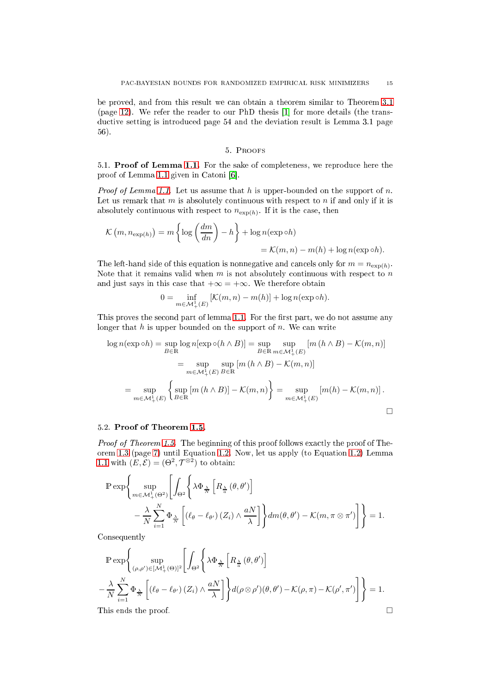be proved, and from this result we can obtain a theorem similar to Theorem [3.1](#page-11-4) (page [12\)](#page-11-4). We refer the reader to our PhD thesis  $[1]$  for more details (the transductive setting is introduced page 54 and the deviation result is Lemma 3.1 page 56).

# 5. Proofs

<span id="page-14-1"></span><span id="page-14-0"></span>5.1. Proof of Lemma [1.1.](#page-5-0) For the sake of ompleteness, we reprodu
e here the proof of Lemma [1.1](#page-5-0) given in Catoni  $[6]$ .

*Proof of Lemma [1.1.](#page-5-0)* Let us assume that h is upper-bounded on the support of n. Let us remark that  $m$  is absolutely continuous with respect to  $n$  if and only if it is absolutely continuous with respect to  $n_{\exp(h)}$ . If it is the case, then

$$
\mathcal{K}\left(m, n_{\exp(h)}\right) = m \left\{\log\left(\frac{dm}{dn}\right) - h\right\} + \log n(\exp \circ h)
$$
  
=  $\mathcal{K}(m, n) - m(h) + \log n(\exp \circ h).$ 

The left-hand side of this equation is nonnegative and cancels only for  $m = n_{\exp(h)}$ . Note that it remains valid when  $m$  is not absolutely continuous with respect to  $n$ and just says in this case that  $+\infty = +\infty$ . We therefore obtain

$$
0 = \inf_{m \in \mathcal{M}_+^1(E)} \left[ \mathcal{K}(m, n) - m(h) \right] + \log n(\exp \circ h).
$$

This proves the second part of lemma [1.1.](#page-5-0) For the first part, we do not assume any longer that  $h$  is upper bounded on the support of  $n$ . We can write

$$
\log n(\exp \circ h) = \sup_{B \in \mathbb{R}} \log n[\exp \circ (h \wedge B)] = \sup_{B \in \mathbb{R}} \sup_{m \in \mathcal{M}_+^1(E)} [m(h \wedge B) - \mathcal{K}(m, n)]
$$
  

$$
= \sup_{m \in \mathcal{M}_+^1(E)} \sup_{B \in \mathbb{R}} [m(h \wedge B) - \mathcal{K}(m, n)]
$$
  

$$
= \sup_{m \in \mathcal{M}_+^1(E)} \left\{ \sup_{B \in \mathbb{R}} [m(h \wedge B)] - \mathcal{K}(m, n) \right\} = \sup_{m \in \mathcal{M}_+^1(E)} [m(h) - \mathcal{K}(m, n)].
$$

$$
\qquad \qquad \Box
$$

# <span id="page-14-2"></span>5.2. Proof of Theorem [1.5.](#page-7-3)

Proof of Theorem [1.5.](#page-7-3) The beginning of this proof follows exactly the proof of Theorem [1.3](#page-6-1) (page [7\)](#page-6-1) until Equation [1.2.](#page-6-2) Now, let us apply (to Equation [1.2\)](#page-6-2) Lemma [1.1](#page-5-0) with  $(E, \mathcal{E}) = (\Theta^2, \mathcal{T}^{\otimes 2})$  to obtain:

$$
\mathbb{P} \exp \left\{ \sup_{m \in \mathcal{M}_+^1(\Theta^2)} \left[ \int_{\Theta^2} \left\{ \lambda \Phi_{\frac{\lambda}{N}} \left[ R_{\frac{\lambda}{a}} \left( \theta, \theta' \right) \right] - \frac{\lambda}{N} \sum_{i=1}^N \Phi_{\frac{\lambda}{N}} \left[ \left( \ell_\theta - \ell_{\theta'} \right) \left( Z_i \right) \wedge \frac{aN}{\lambda} \right] \right\} dm(\theta, \theta') - \mathcal{K}(m, \pi \otimes \pi') \right] \right\} = 1.
$$

Consequently

$$
\mathbb{P} \exp \left\{ \sup_{(\rho,\rho') \in [\mathcal{M}_+^1(\Theta)]^2} \left[ \int_{\Theta^2} \left\{ \lambda \Phi_{\frac{\lambda}{N}} \left[ R_{\frac{\lambda}{a}}(\theta, \theta') \right] \right. \right.\left. - \frac{\lambda}{N} \sum_{i=1}^N \Phi_{\frac{\lambda}{N}} \left[ (\ell_{\theta} - \ell_{\theta'}) \left( Z_i \right) \wedge \frac{aN}{\lambda} \right] \right\} d(\rho \otimes \rho')(\theta, \theta') - \mathcal{K}(\rho, \pi) - \mathcal{K}(\rho', \pi') \right] \right\} = 1.
$$
\nThis ends the proof.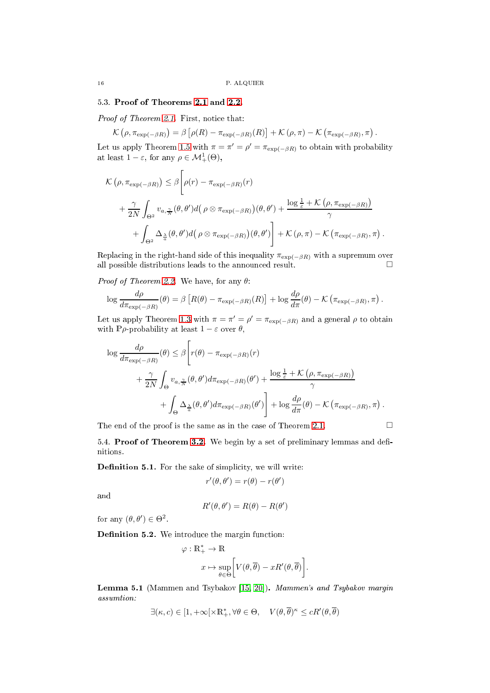# 5.3. Proof of Theorems [2.1](#page-8-1) and [2.2.](#page-9-1)

Proof of Theorem [2.1.](#page-8-1) First, notice that:

 $\mathcal{K}\left(\rho, \pi_{\exp(-\beta R)}\right) = \beta\left[\rho(R) - \pi_{\exp(-\beta R)}(R)\right] + \mathcal{K}\left(\rho, \pi\right) - \mathcal{K}\left(\pi_{\exp(-\beta R)}, \pi\right).$ 

Let us apply Theorem [1.5](#page-7-3) with  $\pi = \pi' = \rho' = \pi_{\exp(-\beta R)}$  to obtain with probability at least  $1 - \varepsilon$ , for any  $\rho \in \mathcal{M}^1_+(\Theta)$ ,

$$
\mathcal{K}(\rho, \pi_{\exp(-\beta R)}) \leq \beta \left[ \rho(r) - \pi_{\exp(-\beta R)}(r) + \frac{\gamma}{2N} \int_{\Theta^2} v_{a, \frac{\gamma}{N}}(\theta, \theta') d(\rho \otimes \pi_{\exp(-\beta R)})(\theta, \theta') + \frac{\log \frac{1}{\varepsilon} + \mathcal{K}(\rho, \pi_{\exp(-\beta R)})}{\gamma} + \int_{\Theta^2} \Delta_{\frac{\lambda}{a}}(\theta, \theta') d(\rho \otimes \pi_{\exp(-\beta R)})(\theta, \theta') \right] + \mathcal{K}(\rho, \pi) - \mathcal{K}(\pi_{\exp(-\beta R)}, \pi).
$$

Replacing in the right-hand side of this inequality  $\pi_{\exp(-\beta R)}$  with a supremum over all possible distributions leads to the announced result.  $\square$ 

*Proof of Theorem [2.2.](#page-9-1)* We have, for any  $\theta$ :

$$
\log \frac{d\rho}{d\pi_{\exp(-\beta R)}}(\theta) = \beta \left[ R(\theta) - \pi_{\exp(-\beta R)}(R) \right] + \log \frac{d\rho}{d\pi}(\theta) - \mathcal{K} \left( \pi_{\exp(-\beta R)}, \pi \right).
$$

Let us apply Theorem [1.3](#page-6-1) with  $\pi = \pi' = \rho' = \pi_{\exp(-\beta R)}$  and a general  $\rho$  to obtain with P $\rho$ -probability at least  $1 - \varepsilon$  over  $\theta$ ,

$$
\log \frac{d\rho}{d\pi_{\exp(-\beta R)}}(\theta) \leq \beta \left[ r(\theta) - \pi_{\exp(-\beta R)}(r) + \frac{\gamma}{2N} \int_{\Theta} v_{a,\frac{\gamma}{N}}(\theta,\theta') d\pi_{\exp(-\beta R)}(\theta') + \frac{\log \frac{1}{\varepsilon} + \mathcal{K}(\rho, \pi_{\exp(-\beta R)})}{\gamma} + \int_{\Theta} \Delta_{\frac{\lambda}{a}}(\theta,\theta') d\pi_{\exp(-\beta R)}(\theta') \right] + \log \frac{d\rho}{d\pi}(\theta) - \mathcal{K}(\pi_{\exp(-\beta R)}, \pi).
$$

<span id="page-15-1"></span>The end of the proof is the same as in the case of Theorem [2.1.](#page-8-1)  $\Box$ 

5.4. Proof of Theorem [3.2.](#page-12-1) We begin by a set of preliminary lemmas and definitions.

Definition 5.1. For the sake of simplicity, we will write:

$$
r'(\theta, \theta') = r(\theta) - r(\theta')
$$

and

$$
R'(\theta, \theta') = R(\theta) - R(\theta')
$$

for any  $(\theta, \theta') \in \Theta^2$ .

<span id="page-15-2"></span>Definition 5.2. We introduce the margin function:

$$
\varphi : \mathbb{R}_+^* \to \mathbb{R}
$$
  

$$
x \mapsto \sup_{\theta \in \Theta} \left[ V(\theta, \overline{\theta}) - xR'(\theta, \overline{\theta}) \right].
$$

<span id="page-15-3"></span>Lemma 5.1 (Mammen and Tsybakov  $[15, 20]$  $[15, 20]$ ). Mammen's and Tsybakov margin assumtion:

$$
\exists (\kappa,c)\in [1,+\infty[\times \mathbb{R}_+^*, \forall \theta\in \Theta, \quad V(\theta, \overline{\theta})^\kappa \le c R'(\theta, \overline{\theta})
$$

<span id="page-15-0"></span>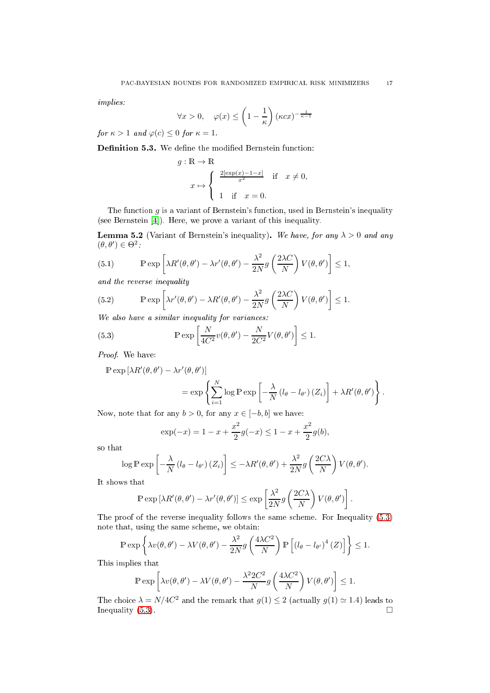implies:

$$
\forall x > 0, \quad \varphi(x) \le \left(1 - \frac{1}{\kappa}\right) (\kappa c x)^{-\frac{1}{\kappa - 1}}
$$

for  $\kappa > 1$  and  $\varphi(c) \leq 0$  for  $\kappa = 1$ .

Definition 5.3. We define the modified Bernstein function:

$$
g: \mathbb{R} \to \mathbb{R}
$$
  

$$
x \mapsto \begin{cases} \frac{2[\exp(x) - 1 - x]}{x^2} & \text{if } x \neq 0, \\ 1 & \text{if } x = 0. \end{cases}
$$

The function  $g$  is a variant of Bernstein's function, used in Bernstein's inequality (see Bernstein  $[4]$ ). Here, we prove a variant of this inequality.

<span id="page-16-2"></span>**Lemma 5.2** (Variant of Bernstein's inequality). We have, for any  $\lambda > 0$  and any  $(\theta, \theta') \in \Theta^2$ :

<span id="page-16-1"></span>(5.1) 
$$
\mathbb{P} \exp \left[ \lambda R'(\theta, \theta') - \lambda r'(\theta, \theta') - \frac{\lambda^2}{2N} g\left(\frac{2\lambda C}{N}\right) V(\theta, \theta') \right] \le 1,
$$

and the reverse inequality

<span id="page-16-3"></span>(5.2) 
$$
\mathbb{P} \exp \left[ \lambda r'(\theta, \theta') - \lambda R'(\theta, \theta') - \frac{\lambda^2}{2N} g\left(\frac{2\lambda C}{N}\right) V(\theta, \theta') \right] \le 1.
$$

We also have a similar inequality for variances:

<span id="page-16-0"></span>(5.3) 
$$
\mathbb{P} \exp \left[ \frac{N}{4C^2} v(\theta, \theta') - \frac{N}{2C^2} V(\theta, \theta') \right] \le 1.
$$

Proof. We have:

$$
\mathbb{P} \exp \left[ \lambda R'(\theta, \theta') - \lambda r'(\theta, \theta') \right]
$$
  
= 
$$
\exp \left\{ \sum_{i=1}^{N} \log \mathbb{P} \exp \left[ -\frac{\lambda}{N} \left( l_{\theta} - l_{\theta'} \right) \left( Z_{i} \right) \right] + \lambda R'(\theta, \theta') \right\}.
$$

Now, note that for any  $b > 0$ , for any  $x \in [-b, b]$  we have:

$$
\exp(-x) = 1 - x + \frac{x^2}{2}g(-x) \le 1 - x + \frac{x^2}{2}g(b),
$$

so that

$$
\log \mathbb{P} \exp \left[ -\frac{\lambda}{N} \left( l_{\theta} - l_{\theta'} \right) \left( Z_i \right) \right] \leq -\lambda R'(\theta, \theta') + \frac{\lambda^2}{2N} g\left( \frac{2C\lambda}{N} \right) V(\theta, \theta').
$$

It shows that

$$
\mathbb{P}\exp\left[\lambda R'(\theta,\theta') - \lambda r'(\theta,\theta')\right] \le \exp\left[\frac{\lambda^2}{2N}g\left(\frac{2C\lambda}{N}\right)V(\theta,\theta')\right].
$$

The proof of the reverse inequality follows the same scheme. For Inequality  $(5.3)$ note that, using the same s
heme, we obtain:

$$
\mathbb{P}\exp\left\{\lambda v(\theta,\theta')-\lambda V(\theta,\theta')-\frac{\lambda^2}{2N}g\left(\frac{4\lambda C^2}{N}\right)\mathbb{P}\left[\left(l_{\theta}-l_{\theta'}\right)^4\left(Z\right)\right]\right\}\leq 1.
$$

This implies that

$$
\mathbb{P}\exp\left[\lambda v(\theta,\theta') - \lambda V(\theta,\theta') - \frac{\lambda^2 2C^2}{N}g\left(\frac{4\lambda C^2}{N}\right)V(\theta,\theta')\right] \le 1.
$$

The choice  $\lambda = N/4C^2$  and the remark that  $g(1) \leq 2$  (actually  $g(1) \simeq 1.4$ ) leads to Inequality  $(5.3)$ .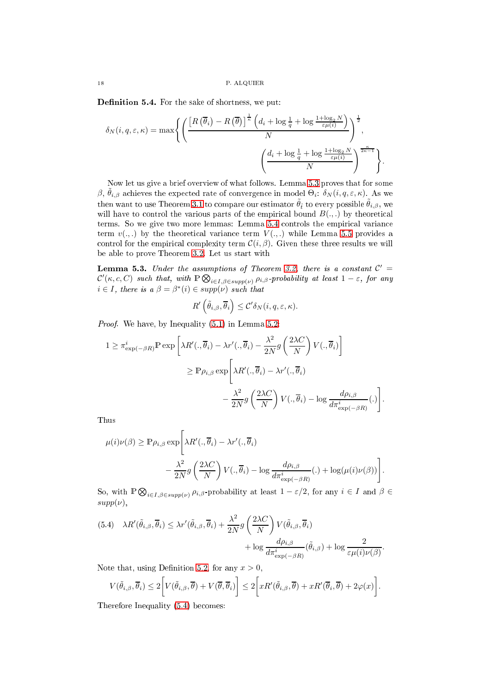Definition 5.4. For the sake of shortness, we put:

$$
\delta_N(i, q, \varepsilon, \kappa) = \max \left\{ \left( \frac{\left[ R\left(\overline{\theta}_i\right) - R\left(\overline{\theta}\right) \right]^{\frac{1}{\kappa}} \left( d_i + \log \frac{1}{q} + \log \frac{1 + \log_2 N}{\varepsilon \mu(i)} \right)}{N} \right)^{\frac{1}{2}}, \left. \left( \frac{d_i + \log \frac{1}{q} + \log \frac{1 + \log_2 N}{\varepsilon \mu(i)}}{N} \right)^{\frac{\kappa}{2\kappa - 1}} \right\} \right\}.
$$

Now let us give a brief overview of what follows. Lemma [5.3](#page-17-0) proves that for some β,  $\tilde{\theta}_{i,\beta}$  achieves the expected rate of convergence in model  $\Theta_i$ :  $\delta_N(i, q, \varepsilon, \kappa)$ . As we then want to use Theorem [3.1](#page-11-4) to compare our estimator  $\tilde{\theta}_t$  to every possible  $\tilde{\theta}_{i,\beta}$ , we will have to control the various parts of the empirical bound  $B(.,.)$  by theoretical terms. So we give two more lemmas: Lemma [5.4](#page-20-0) controls the empirical variance term  $v(.,.)$  by the theoretical variance term  $V(.,.)$  while Lemma [5.5](#page-21-0) provides a control for the empirical complexity term  $\mathcal{C}(i, \beta)$ . Given these three results we will be able to prove Theorem [3.2.](#page-12-1) Let us start with

<span id="page-17-0"></span>**Lemma 5.3.** Under the assumptions of Theorem [3.2,](#page-12-1) there is a constant  $C' =$  $\mathcal{C}'(\kappa,c,C)$  such that, with  $\mathbb{P} \bigotimes_{i \in I, \beta \in supp(\nu)} \rho_{i,\beta}$ -probability at least  $1-\varepsilon$ , for any  $i \in I$ , there is a  $\beta = \beta^*(i) \in supp(\nu)$  such that

$$
R'\left(\tilde{\theta}_{i,\beta},\overline{\theta}_{i}\right) \leq \mathcal{C}'\delta_{N}(i,q,\varepsilon,\kappa).
$$

Proof. We have, by Inequality  $(5.1)$  in Lemma [5.2:](#page-16-2)

$$
1 \geq \pi_{\exp(-\beta R)}^{i} \mathbb{P} \exp \left[ \lambda R'(.,\overline{\theta}_{i}) - \lambda r'(.,\overline{\theta}_{i}) - \frac{\lambda^{2}}{2N} g\left(\frac{2\lambda C}{N}\right) V(.,\overline{\theta}_{i}) \right]
$$
  

$$
\geq \mathbb{P} \rho_{i,\beta} \exp \left[ \lambda R'(.,\overline{\theta}_{i}) - \lambda r'(.,\overline{\theta}_{i}) - \frac{\lambda^{2}}{2N} g\left(\frac{2\lambda C}{N}\right) V(.,\overline{\theta}_{i}) - \log \frac{d\rho_{i,\beta}}{d\pi_{\exp(-\beta R)}^{i}}(.) \right]
$$

.

Thus

$$
\mu(i)\nu(\beta) \ge \mathbb{P}\rho_{i,\beta} \exp\left[\lambda R'(.,\overline{\theta}_i) - \lambda r'(.,\overline{\theta}_i) -\frac{\lambda^2}{2N}g\left(\frac{2\lambda C}{N}\right)V(.,\overline{\theta}_i) - \log\frac{d\rho_{i,\beta}}{d\pi_{\exp(-\beta R)}^i}(.) + \log(\mu(i)\nu(\beta))\right].
$$

So, with  $\mathbb{P} \bigotimes_{i \in I, \beta \in supp(\nu)} \rho_{i,\beta}$ -probability at least  $1 - \varepsilon/2$ , for any  $i \in I$  and  $\beta \in$  $supp(\nu)$ ,

<span id="page-17-1"></span>(5.4) 
$$
\lambda R'(\tilde{\theta}_{i,\beta}, \overline{\theta}_i) \leq \lambda r'(\tilde{\theta}_{i,\beta}, \overline{\theta}_i) + \frac{\lambda^2}{2N} g\left(\frac{2\lambda C}{N}\right) V(\tilde{\theta}_{i,\beta}, \overline{\theta}_i) + \log \frac{d\rho_{i,\beta}}{d\pi_{\exp(-\beta R)}^i} (\tilde{\theta}_{i,\beta}) + \log \frac{2}{\varepsilon \mu(i)\nu(\beta)}.
$$

Note that, using Definition [5.2,](#page-15-2) for any  $x > 0$ ,

$$
V(\tilde{\theta}_{i,\beta}, \overline{\theta}_{i}) \leq 2 \bigg[ V(\tilde{\theta}_{i,\beta}, \overline{\theta}) + V(\overline{\theta}, \overline{\theta}_{i}) \bigg] \leq 2 \bigg[ x R'(\tilde{\theta}_{i,\beta}, \overline{\theta}) + x R'(\overline{\theta}_{i}, \overline{\theta}) + 2 \varphi(x) \bigg].
$$

Therefore Inequality [\(5.4\)](#page-17-1) be
omes: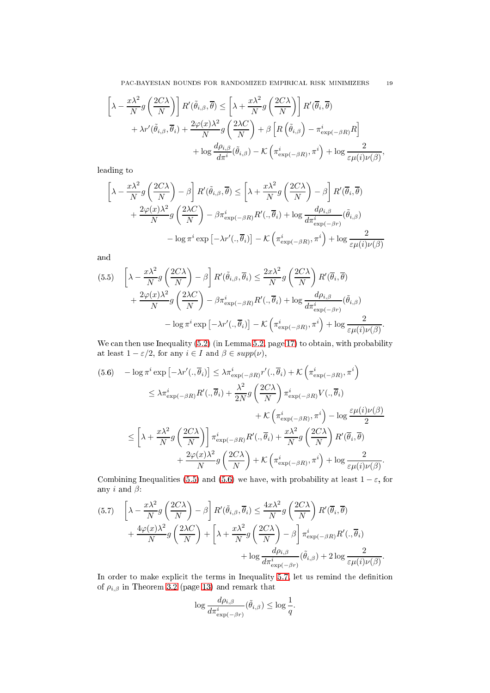PAC-BAYESIAN BOUNDS FOR RANDOMIZED EMPIRICAL RISK MINIMIZERS 19

$$
\[\lambda - \frac{x\lambda^2}{N} g\left(\frac{2C\lambda}{N}\right)\] R'(\tilde{\theta}_{i,\beta}, \overline{\theta}) \le \left[\lambda + \frac{x\lambda^2}{N} g\left(\frac{2C\lambda}{N}\right)\right] R'(\overline{\theta}_i, \overline{\theta}) \n+ \lambda r'(\tilde{\theta}_{i,\beta}, \overline{\theta}_i) + \frac{2\varphi(x)\lambda^2}{N} g\left(\frac{2\lambda C}{N}\right) + \beta \left[R\left(\tilde{\theta}_{i,\beta}\right) - \pi_{\exp(-\beta R)}^i R\right] \n+ \log \frac{d\rho_{i,\beta}}{d\pi^i} (\tilde{\theta}_{i,\beta}) - \mathcal{K}\left(\pi_{\exp(-\beta R)}^i, \pi^i\right) + \log \frac{2}{\varepsilon \mu(i)\nu(\beta)},\n\]
$$

leading to

$$
\left[\lambda - \frac{x\lambda^2}{N}g\left(\frac{2C\lambda}{N}\right) - \beta\right]R'(\tilde{\theta}_{i,\beta},\overline{\theta}) \le \left[\lambda + \frac{x\lambda^2}{N}g\left(\frac{2C\lambda}{N}\right) - \beta\right]R'(\overline{\theta}_{i},\overline{\theta})
$$

$$
+ \frac{2\varphi(x)\lambda^2}{N}g\left(\frac{2\lambda C}{N}\right) - \beta\pi_{\exp(-\beta R)}^{i}R'(.,\overline{\theta}_{i}) + \log \frac{d\rho_{i,\beta}}{d\pi_{\exp(-\beta r)}^{i}}(\tilde{\theta}_{i,\beta})
$$

$$
- \log \pi^{i} \exp\left[-\lambda r'(.,\overline{\theta}_{i})\right] - \mathcal{K}\left(\pi_{\exp(-\beta R)}^{i},\pi^{i}\right) + \log \frac{2}{\varepsilon\mu(i)\nu(\beta)}
$$

and

<span id="page-18-0"></span>(5.5) 
$$
\left[\lambda - \frac{x\lambda^2}{N}g\left(\frac{2C\lambda}{N}\right) - \beta\right]R'(\tilde{\theta}_{i,\beta}, \overline{\theta}_i) \le \frac{2x\lambda^2}{N}g\left(\frac{2C\lambda}{N}\right)R'(\overline{\theta}_i, \overline{\theta}) + \frac{2\varphi(x)\lambda^2}{N}g\left(\frac{2\lambda C}{N}\right) - \beta\pi_{\exp(-\beta R)}^iR'(\overline{\theta}_i) + \log\frac{d\rho_{i,\beta}}{d\pi_{\exp(-\beta r)}^i}(\tilde{\theta}_{i,\beta}) - \log\pi^i\exp\left[-\lambda r'(\overline{\theta}_i)\right] - \mathcal{K}\left(\pi_{\exp(-\beta R)}^i, \pi^i\right) + \log\frac{2}{\varepsilon\mu(i)\nu(\beta)}.
$$

We can then use Inequality [\(5.2\)](#page-16-3) (in Lemma [5.2,](#page-16-2) page [17\)](#page-16-2) to obtain, with probability at least  $1 - \varepsilon/2$ , for any  $i \in I$  and  $\beta \in supp(\nu)$ ,

<span id="page-18-1"></span>
$$
(5.6) \quad -\log \pi^{i} \exp \left[ -\lambda r'(:,\overline{\theta}_{i}) \right] \leq \lambda \pi_{\exp(-\beta R)}^{i} r'(:,\overline{\theta}_{i}) + \mathcal{K} \left( \pi_{\exp(-\beta R)}^{i} , \pi^{i} \right)
$$

$$
\leq \lambda \pi_{\exp(-\beta R)}^{i} R'(:,\overline{\theta}_{i}) + \frac{\lambda^{2}}{2N} g \left( \frac{2C\lambda}{N} \right) \pi_{\exp(-\beta R)}^{i} V(:,\overline{\theta}_{i})
$$

$$
+ \mathcal{K} \left( \pi_{\exp(-\beta R)}^{i} , \pi^{i} \right) - \log \frac{\varepsilon \mu(i) \nu(\beta)}{2}
$$

$$
\leq \left[ \lambda + \frac{x\lambda^{2}}{N} g \left( \frac{2C\lambda}{N} \right) \right] \pi_{\exp(-\beta R)}^{i} R'(:,\overline{\theta}_{i}) + \frac{x\lambda^{2}}{N} g \left( \frac{2C\lambda}{N} \right) R'(\overline{\theta}_{i},\overline{\theta})
$$

$$
+ \frac{2\varphi(x)\lambda^{2}}{N} g \left( \frac{2C\lambda}{N} \right) + \mathcal{K} \left( \pi_{\exp(-\beta R)}^{i} , \pi^{i} \right) + \log \frac{2}{\varepsilon \mu(i) \nu(\beta)}.
$$

Combining Inequalities [\(5.5\)](#page-18-0) and [\(5.6\)](#page-18-1) we have, with probability at least  $1 - \varepsilon$ , for any i and  $\beta$ :

<span id="page-18-2"></span>(5.7) 
$$
\left[\lambda - \frac{x\lambda^2}{N} g\left(\frac{2C\lambda}{N}\right) - \beta\right] R'(\tilde{\theta}_{i,\beta}, \overline{\theta}_i) \le \frac{4x\lambda^2}{N} g\left(\frac{2C\lambda}{N}\right) R'(\overline{\theta}_i, \overline{\theta}) + \frac{4\varphi(x)\lambda^2}{N} g\left(\frac{2\lambda C}{N}\right) + \left[\lambda + \frac{x\lambda^2}{N} g\left(\frac{2C\lambda}{N}\right) - \beta\right] \pi_{\exp(-\beta R)}^i R'(\cdot, \overline{\theta}_i) + \log \frac{d\rho_{i,\beta}}{d\pi_{\exp(-\beta r)}^i} (\tilde{\theta}_{i,\beta}) + 2 \log \frac{2}{\varepsilon \mu(i)\nu(\beta)}.
$$

In order to make explicit the terms in Inequality [5.7,](#page-18-2) let us remind the definition of  $\rho_{i,\beta}$  in Theorem [3.2](#page-12-1) (page [13\)](#page-12-1) and remark that

$$
\log \frac{d\rho_{i,\beta}}{d\pi_{\exp(-\beta r)}^i}(\tilde{\theta}_{i,\beta}) \le \log \frac{1}{q}.
$$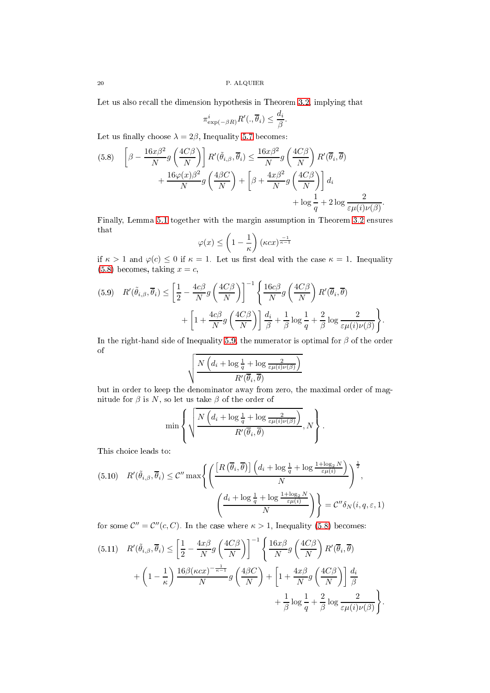Let us also recall the dimension hypothesis in Theorem [3.2,](#page-12-1) implying that

$$
\pi_{\exp(-\beta R)}^i R' (., \overline{\theta}_i) \leq \frac{d_i}{\beta}.
$$

Let us finally choose  $\lambda = 2\beta$ , Inequality [5.7](#page-18-2) becomes:

<span id="page-19-0"></span>(5.8) 
$$
\left[\beta - \frac{16x\beta^2}{N} g\left(\frac{4C\beta}{N}\right)\right] R'(\tilde{\theta}_{i,\beta}, \overline{\theta}_i) \le \frac{16x\beta^2}{N} g\left(\frac{4C\beta}{N}\right) R'(\overline{\theta}_i, \overline{\theta}) + \frac{16\varphi(x)\beta^2}{N} g\left(\frac{4\beta C}{N}\right) + \left[\beta + \frac{4x\beta^2}{N} g\left(\frac{4C\beta}{N}\right)\right] d_i + \log \frac{1}{q} + 2\log \frac{2}{\varepsilon \mu(i)\nu(\beta)}.
$$

Finally, Lemma [5.1](#page-15-3) together with the margin assumption in Theorem [3.2](#page-12-1) ensures that

$$
\varphi(x) \le \left(1 - \frac{1}{\kappa}\right) (\kappa c x)^{\frac{-1}{\kappa - 1}}
$$

if  $\kappa > 1$  and  $\varphi(c) \leq 0$  if  $\kappa = 1$ . Let us first deal with the case  $\kappa = 1$ . Inequality  $(5.8)$  becomes, taking  $x = c$ ,

<span id="page-19-1"></span>
$$
(5.9) \quad R'(\tilde{\theta}_{i,\beta}, \overline{\theta}_i) \le \left[\frac{1}{2} - \frac{4c\beta}{N}g\left(\frac{4C\beta}{N}\right)\right]^{-1} \left\{\frac{16c\beta}{N}g\left(\frac{4C\beta}{N}\right)R'(\overline{\theta}_i, \overline{\theta}) + \left[1 + \frac{4c\beta}{N}g\left(\frac{4C\beta}{N}\right)\right]\frac{d_i}{\beta} + \frac{1}{\beta}\log\frac{1}{q} + \frac{2}{\beta}\log\frac{2}{\varepsilon\mu(i)\nu(\beta)}\right\}.
$$

In the right-hand side of Inequality [5.9,](#page-19-1) the numerator is optimal for  $\beta$  of the order of

$$
\sqrt{\frac{N\left(d_i + \log\frac{1}{q} + \log\frac{2}{\varepsilon\mu(i)\nu(\beta)}\right)}{R'(\overline{\theta}_i, \overline{\theta})}}
$$

but in order to keep the denominator away from zero, the maximal order of magnitude for  $\beta$  is N, so let us take  $\beta$  of the order of

$$
\min \left\{ \sqrt{\frac{N\left(d_i + \log \frac{1}{q} + \log \frac{2}{\varepsilon \mu(i)\nu(\beta)}\right)}{R'(\overline{\theta}_i, \overline{\theta})}}, N \right\}.
$$

This choice leads to:

<span id="page-19-3"></span>
$$
(5.10) \quad R'(\tilde{\theta}_{i,\beta}, \overline{\theta}_i) \leq C'' \max \left\{ \left( \frac{\left[ R\left( \overline{\theta}_i, \overline{\theta} \right) \right] \left( d_i + \log \frac{1}{q} + \log \frac{1 + \log_2 N}{\varepsilon \mu(i)} \right)}{N} \right)^{\frac{1}{2}}, \left( \frac{d_i + \log \frac{1}{q} + \log \frac{1 + \log_2 N}{\varepsilon \mu(i)}}{N} \right) \right\} = C'' \delta_N(i, q, \varepsilon, 1)
$$

for some  $\mathcal{C}'' = \mathcal{C}''(c, C)$ . In the case where  $\kappa > 1$ , Inequality [\(5.8\)](#page-19-0) becomes:

<span id="page-19-2"></span>
$$
(5.11) \quad R'(\tilde{\theta}_{i,\beta}, \overline{\theta}_i) \leq \left[\frac{1}{2} - \frac{4x\beta}{N}g\left(\frac{4C\beta}{N}\right)\right]^{-1} \left\{\frac{16x\beta}{N}g\left(\frac{4C\beta}{N}\right)R'(\overline{\theta}_i, \overline{\theta}) + \left(1 - \frac{1}{\kappa}\right)\frac{16\beta(\kappa cx)^{-\frac{1}{\kappa - 1}}}{N}g\left(\frac{4\beta C}{N}\right) + \left[1 + \frac{4x\beta}{N}g\left(\frac{4C\beta}{N}\right)\right]\frac{d_i}{\beta} + \frac{1}{\beta}\log\frac{1}{\theta} + \frac{2}{\beta}\log\frac{2}{\varepsilon\mu(i)\nu(\beta)}\right\}.
$$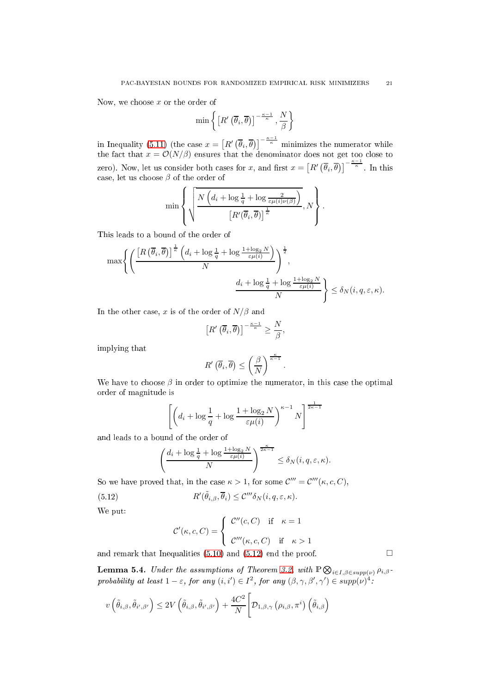Now, we choose  $x$  or the order of

$$
\min\left\{\left[R'\left(\overline{\theta}_i,\overline{\theta}\right)\right]^{-\frac{\kappa-1}{\kappa}},\frac{N}{\beta}\right\}
$$

in Inequality [\(5.11\)](#page-19-2) (the case  $x = [R'(\overline{\theta}_i, \overline{\theta})]^{-\frac{\kappa-1}{\kappa}}$  minimizes the numerator while the fact that  $x = \mathcal{O}(N/\beta)$  ensures that the denominator does not get too close to zero). Now, let us consider both cases for x, and first  $x = \left[R\left(\overline{\theta}_i, \overline{\theta}\right)\right]^{-\frac{\kappa-1}{\kappa}}$ . In this case, let us choose  $\beta$  of the order of

$$
\min\left\{\sqrt{\frac{N\left(d_i+\log\frac{1}{q}+\log\frac{2}{\varepsilon\mu(i)\nu(\beta)}\right)}{\left[R'(\overline{\theta}_i,\overline{\theta})\right]^{\frac{1}{\kappa}}}},N\right\}.
$$

This leads to a bound of the order of

$$
\max \left\{ \left( \frac{\left[ R\left(\overline{\theta}_{i}, \overline{\theta}\right) \right]^{\frac{1}{\kappa}} \left( d_{i} + \log \frac{1}{q} + \log \frac{1 + \log_{2} N}{\varepsilon \mu(i)} \right)}{N} \right)^{\frac{1}{2}}, \frac{d_{i} + \log \frac{1}{q} + \log \frac{1 + \log_{2} N}{\varepsilon \mu(i)}}{N} \right\} \leq \delta_{N}(i, q, \varepsilon, \kappa).
$$

In the other case, x is of the order of  $N/\beta$  and

$$
\left[R'\left(\overline{\theta}_i,\overline{\theta}\right)\right]^{-\frac{\kappa-1}{\kappa}} \ge \frac{N}{\beta},
$$

implying that

$$
R'\left(\overline{\theta}_i,\overline{\theta}\right) \leq \left(\frac{\beta}{N}\right)^{\frac{\kappa}{\kappa-1}}
$$

.

We have to choose  $\beta$  in order to optimize the numerator, in this case the optimal order of magnitude is

$$
\left[ \left( d_i + \log \frac{1}{q} + \log \frac{1 + \log_2 N}{\varepsilon \mu(i)} \right)^{\kappa - 1} N \right]^{\frac{1}{2\kappa - 1}}
$$

and leads to a bound of the order of

$$
\left(\frac{d_i + \log\frac{1}{q} + \log\frac{1 + \log_2 N}{\varepsilon\mu(i)}}{N}\right)^{\frac{\kappa}{2\kappa - 1}} \le \delta_N(i, q, \varepsilon, \kappa).
$$

So we have proved that, in the case  $\kappa > 1$ , for some  $\mathcal{C}''' = \mathcal{C}'''(\kappa, c, C)$ ,

(5.12) 
$$
R'(\tilde{\theta}_{i,\beta}, \overline{\theta}_i) \leq C''' \delta_N(i, q, \varepsilon, \kappa).
$$

We put:

<span id="page-20-1"></span>
$$
\mathcal{C}'(\kappa, c, C) = \begin{cases} \mathcal{C}''(c, C) & \text{if } \kappa = 1 \\ \mathcal{C}'''(\kappa, c, C) & \text{if } \kappa > 1 \end{cases}
$$

and remark that Inequalities [\(5.10\)](#page-19-3) and [\(5.12\)](#page-20-1) end the proof.  $\Box$ 

<span id="page-20-0"></span>**Lemma 5.4.** Under the assumptions of Theorem [3.2,](#page-12-1) with  $\mathbb{P}\bigotimes_{i\in I, \beta \in supp(\nu)} \rho_{i,\beta}$ . probability at least  $1-\varepsilon$ , for any  $(i,i') \in I^2$ , for any  $(\beta,\gamma,\beta',\gamma') \in supp(\nu)^4$ .

$$
v\left(\tilde{\theta}_{i,\beta},\tilde{\theta}_{i',\beta'}\right) \leq 2V\left(\tilde{\theta}_{i,\beta},\tilde{\theta}_{i',\beta'}\right) + \frac{4C^2}{N}\Bigg[\mathcal{D}_{1,\beta,\gamma}\left(\rho_{i,\beta},\pi^i\right)\left(\tilde{\theta}_{i,\beta}\right)
$$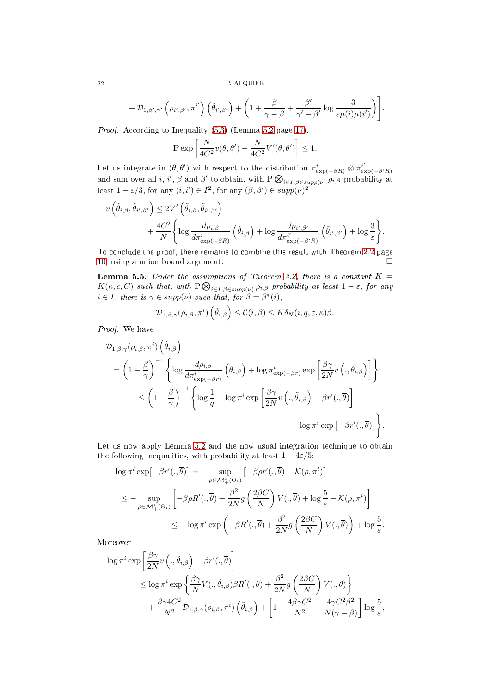$$
+\mathcal{D}_{1,\beta',\gamma'}\left(\rho_{i',\beta'},\pi^{i'}\right)\left(\tilde{\theta}_{i',\beta'}\right)+\left(1+\frac{\beta}{\gamma-\beta}+\frac{\beta'}{\gamma'-\beta'}\log\frac{3}{\varepsilon\mu(i)\mu(i')}\right)\bigg].
$$

Proof. According to Inequality [\(5.3\)](#page-16-0) (Lemma [5.2](#page-16-2) page [17\)](#page-16-2),

$$
\mathbb{P}\exp\left[\frac{N}{4C^2}v(\theta,\theta') - \frac{N}{4C^2}V'(\theta,\theta')\right] \le 1.
$$

Let us integrate in  $(\theta, \theta')$  with respect to the distribution  $\pi_{\exp(-\beta R)}^i \otimes \pi_{\exp(-\beta'R)}^{i'}$ and sum over all i, i',  $\beta$  and  $\beta'$  to obtain, with  $\mathbb{P} \bigotimes_{i \in I, \beta \in supp(\nu)} \hat{\rho}_{i,\beta}$ -probability at least  $1 - \varepsilon/3$ , for any  $(i, i') \in I^2$ , for any  $(\beta, \beta') \in supp(\nu)^2$ .

$$
v\left(\tilde{\theta}_{i,\beta}, \tilde{\theta}_{i',\beta'}\right) \leq 2V'\left(\tilde{\theta}_{i,\beta}, \tilde{\theta}_{i',\beta'}\right) + \frac{4C^2}{N} \Bigg\{ \log \frac{d\rho_{i,\beta}}{d\pi_{\exp(-\beta R)}^i} \left(\tilde{\theta}_{i,\beta}\right) + \log \frac{d\rho_{i',\beta'}}{d\pi_{\exp(-\beta'R)}^{i'}} \left(\tilde{\theta}_{i',\beta'}\right) + \log \frac{3}{\varepsilon} \Bigg\}.
$$

To conclude the proof, there remains to combine this result with Theorem [2.2](#page-9-1) page [10,](#page-9-1) using a union bound argument.

<span id="page-21-0"></span>**Lemma 5.5.** Under the assumptions of Theorem [3.2,](#page-12-1) there is a constant  $K =$  $K(\kappa, c, C)$  such that, with  $\mathbb{P} \bigotimes_{i \in I, \beta \in supp(\nu)} \rho_{i,\beta}$ -probability at least  $1 - \varepsilon$ , for any  $i \in I$ , there is  $\gamma \in supp(\nu)$  such that, for  $\beta = \beta^*(i)$ ,

$$
\mathcal{D}_{1,\beta,\gamma}(\rho_{i,\beta},\pi^i)\left(\tilde{\theta}_{i,\beta}\right)\leq \mathcal{C}(i,\beta)\leq K\delta_N(i,q,\varepsilon,\kappa)\beta.
$$

Proof. We have

$$
\mathcal{D}_{1,\beta,\gamma}(\rho_{i,\beta},\pi^{i})\left(\tilde{\theta}_{i,\beta}\right)
$$
\n
$$
= \left(1 - \frac{\beta}{\gamma}\right)^{-1} \left\{\log \frac{d\rho_{i,\beta}}{d\pi_{\exp(-\beta r)}^{i}} \left(\tilde{\theta}_{i,\beta}\right) + \log \pi_{\exp(-\beta r)}^{i} \exp\left[\frac{\beta\gamma}{2N}v\left(.,\tilde{\theta}_{i,\beta}\right)\right]\right\}
$$
\n
$$
\leq \left(1 - \frac{\beta}{\gamma}\right)^{-1} \left\{\log \frac{1}{q} + \log \pi^{i} \exp\left[\frac{\beta\gamma}{2N}v\left(.,\tilde{\theta}_{i,\beta}\right) - \beta r'(.,\overline{\theta})\right]\right\}
$$
\n
$$
- \log \pi^{i} \exp\left[-\beta r'(.,\overline{\theta})\right]\right\}.
$$

Let us now apply Lemma [5.2](#page-16-2) and the now usual integration technique to obtain the following inequalities, with probability at least  $1 - 4\varepsilon/5$ :

$$
- \log \pi^{i} \exp\left[-\beta r'(.,\overline{\theta})\right] = - \sup_{\rho \in \mathcal{M}_{+}^{1}(\Theta_{i})} \left[-\beta \rho r'(.,\overline{\theta}) - \mathcal{K}(\rho,\pi^{i})\right]
$$
  

$$
\leq - \sup_{\rho \in \mathcal{M}_{+}^{1}(\Theta_{i})} \left[-\beta \rho R'(.,\overline{\theta}) + \frac{\beta^{2}}{2N} g\left(\frac{2\beta C}{N}\right) V(.,\overline{\theta}) + \log \frac{5}{\varepsilon} - \mathcal{K}(\rho,\pi^{i})\right]
$$
  

$$
\leq - \log \pi^{i} \exp\left(-\beta R'(.,\overline{\theta}) + \frac{\beta^{2}}{2N} g\left(\frac{2\beta C}{N}\right) V(.,\overline{\theta})\right) + \log \frac{5}{\varepsilon}.
$$

Moreover

$$
\log \pi^{i} \exp \left[\frac{\beta \gamma}{2N} v\left(., \tilde{\theta}_{i,\beta}\right) - \beta r'(.,\overline{\theta})\right]
$$
  
\n
$$
\leq \log \pi^{i} \exp \left\{\frac{\beta \gamma}{N} V(., \tilde{\theta}_{i,\beta}) \beta R'(., \overline{\theta}) + \frac{\beta^{2}}{2N} g\left(\frac{2\beta C}{N}\right) V(., \overline{\theta})\right\}
$$
  
\n
$$
+ \frac{\beta \gamma 4C^{2}}{N^{2}} \mathcal{D}_{1,\beta,\gamma}(\rho_{i,\beta}, \pi^{i}) \left(\tilde{\theta}_{i,\beta}\right) + \left[1 + \frac{4\beta \gamma C^{2}}{N^{2}} + \frac{4\gamma C^{2} \beta^{2}}{N(\gamma - \beta)}\right] \log \frac{5}{\varepsilon},
$$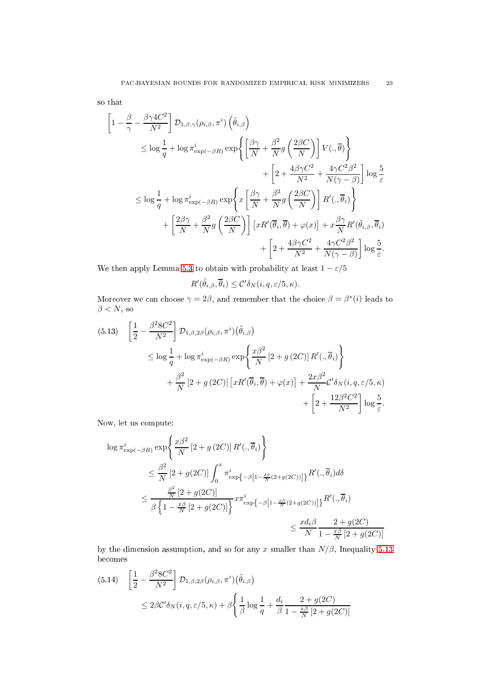so that

$$
\begin{split}\n&\left[1-\frac{\beta}{\gamma}-\frac{\beta\gamma 4C^2}{N^2}\right]\mathcal{D}_{1,\beta,\gamma}(\rho_{i,\beta},\pi^i)\left(\tilde{\theta}_{i,\beta}\right) \\
&\leq \log\frac{1}{q}+\log\pi_{\exp(-\beta R)}^i\exp\left\{\left[\frac{\beta\gamma}{N}+\frac{\beta^2}{N}g\left(\frac{2\beta C}{N}\right)\right]V(.,\overline{\theta})\right\} \\
&\quad+\left[2+\frac{4\beta\gamma C^2}{N^2}+\frac{4\gamma C^2\beta^2}{N(\gamma-\beta)}\right]\log\frac{5}{\varepsilon} \\
&\leq \log\frac{1}{q}+\log\pi_{\exp(-\beta R)}^i\exp\left\{x\left[\frac{\beta\gamma}{N}+\frac{\beta^2}{N}g\left(\frac{2\beta C}{N}\right)\right]R'(.,\overline{\theta}_i)\right\} \\
&\quad+\left[\frac{2\beta\gamma}{N}+\frac{\beta^2}{N}g\left(\frac{2\beta C}{N}\right)\right]\left[xR'(\overline{\theta}_i,\overline{\theta})+\varphi(x)\right]+x\frac{\beta\gamma}{N}R'(\tilde{\theta}_{i,\beta},\overline{\theta}_i) \\
&\quad+\left[2+\frac{4\beta\gamma C^2}{N^2}+\frac{4\gamma C^2\beta^2}{N(\gamma-\beta)}\right]\log\frac{5}{\varepsilon}.\n\end{split}
$$

We then apply Lemma [5.3](#page-17-0) to obtain with probability at least  $1-\varepsilon/5$ 

$$
R'(\tilde{\theta}_{i,\beta}, \overline{\theta}_i) \leq C' \delta_N(i, q, \varepsilon/5, \kappa).
$$

Moreover we can choose  $\gamma = 2\beta$ , and remember that the choice  $\beta = \beta^*(i)$  leads to  $\beta < N$ , so

<span id="page-22-0"></span>
$$
(5.13) \quad \left[\frac{1}{2} - \frac{\beta^2 8C^2}{N^2}\right] \mathcal{D}_{1,\beta,2\beta}(\rho_{i,\beta}, \pi^i)(\tilde{\theta}_{i,\beta})
$$
\n
$$
\leq \log \frac{1}{q} + \log \pi_{\exp(-\beta R)}^i \exp\left\{\frac{x\beta^2}{N} \left[2 + g(2C)\right] R'(\cdot, \overline{\theta}_i)\right\}
$$
\n
$$
+ \frac{\beta^2}{N} \left[2 + g(2C)\right] \left[xR'(\overline{\theta}_i, \overline{\theta}) + \varphi(x)\right] + \frac{2x\beta^2}{N} C' \delta_N(i, q, \varepsilon/5, \kappa)
$$
\n
$$
+ \left[2 + \frac{12\beta^2 C^2}{N^2}\right] \log \frac{5}{\varepsilon}.
$$

Now, let us ompute:

$$
\log \pi_{\exp(-\beta R)}^{i} \exp\left\{\frac{x\beta^{2}}{N}\left[2+g\left(2C\right)\right]R',\overline{\theta}_{i}\right\}
$$
\n
$$
\leq \frac{\beta^{2}}{N}\left[2+g(2C)\right]\int_{0}^{x} \pi_{\exp\left\{-\beta\left[1-\frac{\delta\beta}{N}\left(2+g(2C)\right)\right]\right\}}R',\overline{\theta}_{i}\right]d\delta
$$
\n
$$
\leq \frac{\frac{\beta^{2}}{N}\left[2+g(2C)\right]}{\beta\left\{1-\frac{x\beta}{N}\left[2+g(2C)\right]\right\}}x\pi_{\exp\left\{-\beta\left[1-\frac{x\beta}{N}\left(2+g(2C)\right)\right]\right\}}R',\overline{\theta}_{i}\right\}
$$
\n
$$
\leq \frac{x d_{i}\beta}{N}\frac{2+g(2C)}{1-\frac{x\beta}{N}\left[2+g(2C)\right]}
$$

by the dimension assumption, and so for any x smaller than  $N/\beta$ , Inequality [5.13](#page-22-0) be
omes

<span id="page-22-1"></span>
$$
(5.14) \quad \left[\frac{1}{2} - \frac{\beta^2 8C^2}{N^2}\right] \mathcal{D}_{1,\beta,2\beta}(\rho_{i,\beta}, \pi^i)(\tilde{\theta}_{i,\beta})
$$
\n
$$
\leq 2\beta C' \delta_N(i, q, \varepsilon/5, \kappa) + \beta \left\{\frac{1}{\beta} \log \frac{1}{q} + \frac{d_i}{\beta} \frac{2 + g(2C)}{1 - \frac{x\beta}{N} [2 + g(2C)]}\right\}
$$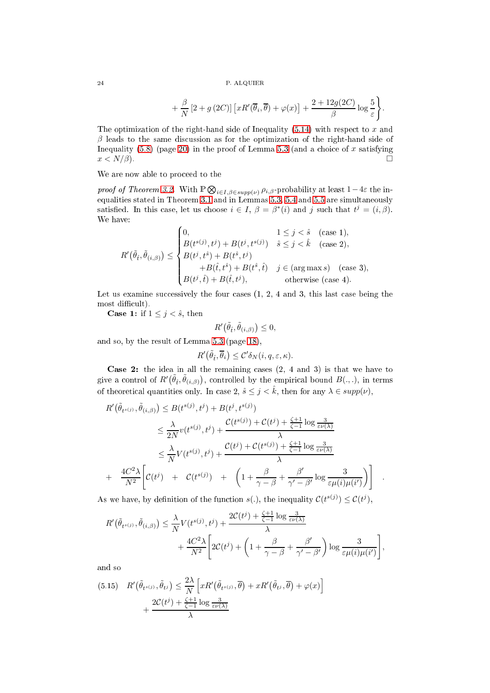$$
+\frac{\beta}{N}\left[2+g\left(2C\right)\right]\left[xR'(\overline{\theta}_{i},\overline{\theta})+\varphi(x)\right]+\frac{2+12g(2C)}{\beta}\log\frac{5}{\varepsilon}\Bigg\}.
$$

The optimization of the right-hand side of Inequality  $(5.14)$  with respect to x and  $\beta$  leads to the same discussion as for the optimization of the right-hand side of Inequality [\(5.8\)](#page-19-0) (page [20\)](#page-19-0) in the proof of Lemma [5.3](#page-17-0) (and a choice of x satisfying  $x < N/\beta$ ).

We are now able to proceed to the

proof of Theorem [3.2.](#page-12-1) With  $\mathbb{P} \bigotimes_{i \in I, \beta \in supp(\nu)} \rho_{i,\beta}$ -probability at least  $1-4\varepsilon$  the inequalities stated in Theorem [3.1](#page-11-4) and in Lemmas [5.3,](#page-17-0) [5.4](#page-20-0) and [5.5](#page-21-0) are simultaneously satisfied. In this case, let us choose  $i \in I$ ,  $\beta = \beta^*(i)$  and j such that  $t^j = (i, \beta)$ . We have:

$$
R'(\tilde{\theta}_{\hat{t}}, \tilde{\theta}_{(i,\beta)}) \leq \begin{cases} 0, & 1 \leq j < \hat{s} \quad \text{(case 1)},\\ B(t^{s(j)}, t^{j}) + B(t^{j}, t^{s(j)}) & \hat{s} \leq j < \hat{k} \quad \text{(case 2)},\\ B(t^{j}, t^{s}) + B(t^{s}, t^{j}) & +B(t^{s}, t^{j}) & j \in \text{(arg max s)} \quad \text{(case 3)},\\ B(t^{j}, \hat{t}) + B(\hat{t}, t^{j}), & \text{otherwise (case 4)}. \end{cases}
$$

Let us examine successively the four cases  $(1, 2, 4, 4)$  and 3, this last case being the most difficult).

**Case 1:** if  $1 \leq j < \hat{s}$ , then

$$
R'\big(\tilde{\theta}_{\hat{t}},\tilde{\theta}_{(i,\beta)}\big)\leq 0,
$$

and so, by the result of Lemma [5.3](#page-17-0) (page [18\)](#page-17-0),

$$
R'(\tilde{\theta}_{\hat{t}}, \overline{\theta}_i) \leq C' \delta_N(i, q, \varepsilon, \kappa).
$$

**Case 2:** the idea in all the remaining cases  $(2, 4 \text{ and } 3)$  is that we have to give a control of  $R'(\tilde{\theta}_t, \tilde{\theta}_{(i,\beta)})$ , controlled by the empirical bound  $B(.,.),$  in terms of theoretical quantities only. In case 2,  $\hat{s} \leq j < \hat{k}$ , then for any  $\lambda \in supp(\nu)$ ,

$$
R'(\tilde{\theta}_{t^{s(j)}}, \tilde{\theta}_{(i,\beta)}) \leq B(t^{s(j)}, t^{j}) + B(t^{j}, t^{s(j)})
$$
  
\n
$$
\leq \frac{\lambda}{2N}v(t^{s(j)}, t^{j}) + \frac{\mathcal{C}(t^{s(j)}) + \mathcal{C}(t^{j}) + \frac{\zeta+1}{\zeta-1}\log\frac{3}{\varepsilon\nu(\lambda)}}{\lambda}
$$
  
\n
$$
\leq \frac{\lambda}{N}V(t^{s(j)}, t^{j}) + \frac{\mathcal{C}(t^{j}) + \mathcal{C}(t^{s(j)}) + \frac{\zeta+1}{\zeta-1}\log\frac{3}{\varepsilon\nu(\lambda)}}{\lambda}
$$
  
\n+ 
$$
\frac{4C^{2}\lambda}{N^{2}}\left[\mathcal{C}(t^{j}) + \mathcal{C}(t^{s(j)}) + \left(1 + \frac{\beta}{\gamma - \beta} + \frac{\beta'}{\gamma' - \beta'}\log\frac{3}{\varepsilon\mu(i)\mu(i')}\right)\right].
$$

As we have, by definition of the function  $s(.)$ , the inequality  $\mathcal{C}(t^{s(j)}) \leq \mathcal{C}(t^j)$ ,

$$
R'(\tilde{\theta}_{t^{s(j)}}, \tilde{\theta}_{(i,\beta)}) \leq \frac{\lambda}{N} V(t^{s(j)}, t^j) + \frac{2C(t^j) + \frac{\zeta + 1}{\zeta - 1} \log \frac{3}{\varepsilon \nu(\lambda)}}{\lambda} + \frac{4C^2 \lambda}{N^2} \left[ 2C(t^j) + \left( 1 + \frac{\beta}{\gamma - \beta} + \frac{\beta'}{\gamma' - \beta'} \right) \log \frac{3}{\varepsilon \mu(i)\mu(i')} \right],
$$

and so

$$
(5.15) \quad R'(\tilde{\theta}_{t^{s(j)}}, \tilde{\theta}_{t^{j}}) \leq \frac{2\lambda}{N} \left[ xR'(\tilde{\theta}_{t^{s(j)}}, \overline{\theta}) + xR'(\tilde{\theta}_{t^{j}}, \overline{\theta}) + \varphi(x) \right] + \frac{2\mathcal{C}(t^{j}) + \frac{\zeta + 1}{\zeta - 1} \log \frac{3}{\varepsilon \nu(\lambda)}}{\lambda}
$$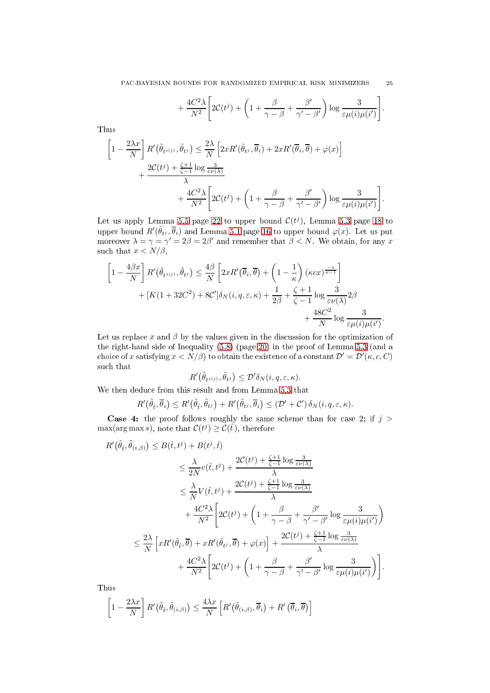$$
+\frac{4C^2\lambda}{N^2}\left[2C(t^j)+\left(1+\frac{\beta}{\gamma-\beta}+\frac{\beta'}{\gamma'-\beta'}\right)\log\frac{3}{\varepsilon\mu(i)\mu(i')}\right].
$$

Thus

$$
\left[1 - \frac{2\lambda x}{N}\right] R'(\tilde{\theta}_{t^{s(j)}}, \tilde{\theta}_{t^{j}}) \leq \frac{2\lambda}{N} \left[2xR'(\tilde{\theta}_{t^{j}}, \overline{\theta}_{i}) + 2xR'(\overline{\theta}_{i}, \overline{\theta}) + \varphi(x)\right] + \frac{2C(t^{j}) + \frac{\zeta+1}{\zeta-1}\log\frac{3}{\varepsilon\nu(\lambda)}}{\lambda} + \frac{4C^{2}\lambda}{N^{2}} \left[2C(t^{j}) + \left(1 + \frac{\beta}{\gamma - \beta} + \frac{\beta'}{\gamma' - \beta'}\right)\log\frac{3}{\varepsilon\mu(i)\mu(i')}\right].
$$

Let us apply Lemma [5.5](#page-21-0) page [22](#page-21-0) to upper bound  $\mathcal{C}(t^j)$ , Lemma [5.3](#page-17-0) page [18](#page-17-0) to upper bound  $R'(\tilde{\theta}_{t^j}, \overline{\theta}_i)$  and Lemma [5.1](#page-15-3) page [16](#page-15-3) to upper bound  $\varphi(x)$ . Let us put moreover  $\lambda = \gamma = \gamma' = 2\beta = 2\beta'$  and remember that  $\beta < N$ . We obtain, for any x such that  $x < N/\beta$ ,

$$
\left[1 - \frac{4\beta x}{N}\right] R'(\tilde{\theta}_{t^{s(j)}}, \tilde{\theta}_{t^{j}}) \leq \frac{4\beta}{N} \left[2xR'(\overline{\theta}_{i}, \overline{\theta}) + \left(1 - \frac{1}{\kappa}\right) (\kappa cx)^{\frac{-1}{\kappa - 1}}\right] + [K(1 + 32C^{2}) + 8C']\delta_{N}(i, q, \varepsilon, \kappa) + \frac{1}{2\beta} + \frac{\zeta + 1}{\zeta - 1} \log \frac{3}{\varepsilon \nu(\lambda)} 2\beta + \frac{48C^{2}}{N} \log \frac{3}{\varepsilon \mu(i)\mu(i')}.
$$

Let us replace  $x$  and  $\beta$  by the values given in the discussion for the optimization of the right-hand side of Inequality [\(5.8\)](#page-19-0) (page [20\)](#page-19-0) in the proof of Lemma [5.3](#page-17-0) (and a choice of x satisfying  $x < N/\beta$ ) to obtain the existence of a constant  $\mathcal{D}' = \mathcal{D}'(\kappa, c, C)$ su
h that

$$
R'\big(\tilde{\theta}_{t^{s(j)}},\tilde{\theta}_{t^{j}}\big)\leq \mathcal{D}'\delta_N(i,q,\varepsilon,\kappa).
$$

We then dedu
e from this result and from Lemma [5.3](#page-17-0) that

$$
R'(\tilde{\theta}_{\hat{t}}, \overline{\theta}_i) \leq R'(\tilde{\theta}_{\hat{t}}, \tilde{\theta}_{t^j}) + R'(\tilde{\theta}_{t^j}, \overline{\theta}_i) \leq (\mathcal{D}' + \mathcal{C}') \delta_N(i, q, \varepsilon, \kappa).
$$

**Case 4:** the proof follows roughly the same scheme than for case 2; if  $j >$  $\max(\arg \max s)$ , note that  $\mathcal{C}(t^j) \geq \mathcal{C}(\hat{t})$ , therefore

$$
R'(\tilde{\theta}_{\hat{t}}, \tilde{\theta}_{(i,\beta)}) \leq B(\hat{t}, t^j) + B(t^j, \hat{t})
$$
  
\n
$$
\leq \frac{\lambda}{2N} v(\hat{t}, t^j) + \frac{2C(t^j) + \frac{\zeta + 1}{\zeta - 1} \log \frac{3}{\varepsilon \nu(\lambda)}}{\lambda}
$$
  
\n
$$
\leq \frac{\lambda}{N} V(\hat{t}, t^j) + \frac{2C(t^j) + \frac{\zeta + 1}{\zeta - 1} \log \frac{3}{\varepsilon \nu(\lambda)}}{\lambda}
$$
  
\n
$$
+ \frac{4C^2 \lambda}{N^2} \left[ 2C(t^j) + \left( 1 + \frac{\beta}{\gamma - \beta} + \frac{\beta'}{\gamma' - \beta'} \log \frac{3}{\varepsilon \mu(i) \mu(i')}\right) \right]
$$
  
\n
$$
\leq \frac{2\lambda}{N} \left[ xR'(\tilde{\theta}_{\hat{t}}, \overline{\theta}) + xR'(\tilde{\theta}_{t^j}, \overline{\theta}) + \varphi(x) \right] + \frac{2C(t^j) + \frac{\zeta + 1}{\zeta - 1} \log \frac{3}{\varepsilon \nu(\lambda)}}{\lambda}
$$
  
\n
$$
+ \frac{4C^2 \lambda}{N^2} \left[ 2C(t^j) + \left( 1 + \frac{\beta}{\gamma - \beta} + \frac{\beta'}{\gamma' - \beta'} \log \frac{3}{\varepsilon \mu(i) \mu(i')} \right) \right].
$$

Thus

$$
\left[1 - \frac{2\lambda x}{N}\right] R'(\tilde{\theta}_{\hat{t}}, \tilde{\theta}_{(i,\beta)}) \le \frac{4\lambda x}{N} \left[R'(\tilde{\theta}_{(i,\beta)}, \overline{\theta}_{i}) + R'(\overline{\theta}_{i}, \overline{\theta})\right]
$$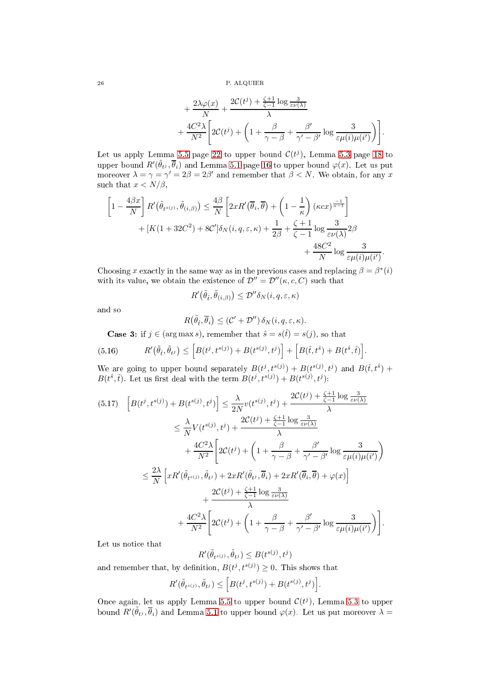$$
+\frac{2\lambda\varphi(x)}{N} + \frac{2\mathcal{C}(t^j) + \frac{\zeta+1}{\zeta-1}\log\frac{3}{\varepsilon\nu(\lambda)}}{\lambda} + \frac{4C^2\lambda}{N^2} \left[2\mathcal{C}(t^j) + \left(1 + \frac{\beta}{\gamma - \beta} + \frac{\beta'}{\gamma' - \beta'}\log\frac{3}{\varepsilon\mu(i)\mu(i')}\right)\right].
$$

Let us apply Lemma [5.5](#page-21-0) page [22](#page-21-0) to upper bound  $\mathcal{C}(t^j)$ , Lemma [5.3](#page-17-0) page [18](#page-17-0) to upper bound  $R'(\tilde{\theta}_{t^j}, \overline{\theta}_i)$  and Lemma [5.1](#page-15-3) page [16](#page-15-3) to upper bound  $\varphi(x)$ . Let us put moreover  $\lambda = \gamma = \gamma' = 2\beta = 2\beta'$  and remember that  $\beta < N$ . We obtain, for any x such that  $x < N/\beta$ ,

$$
\left[1 - \frac{4\beta x}{N}\right] R'(\tilde{\theta}_{t^{s(j)}}, \tilde{\theta}_{(i,\beta)}) \leq \frac{4\beta}{N} \left[2xR'(\overline{\theta}_{i}, \overline{\theta}) + \left(1 - \frac{1}{\kappa}\right)(\kappa cx)^{\frac{-1}{\kappa - 1}}\right] + [K(1 + 32C^{2}) + 8C']\delta_{N}(i, q, \varepsilon, \kappa) + \frac{1}{2\beta} + \frac{\zeta + 1}{\zeta - 1}\log\frac{3}{\varepsilon\nu(\lambda)}2\beta + \frac{48C^{2}}{N}\log\frac{3}{\varepsilon\mu(i)\mu(i')}.
$$

Choosing x exactly in the same way as in the previous cases and replacing  $\beta = \beta^*(i)$ with its value, we obtain the existence of  $\mathcal{D}'' = \mathcal{D}''(\kappa, c, C)$  such that

$$
R'\big(\tilde{\theta}_{\hat{t}},\tilde{\theta}_{(i,\beta)}\big)\leq \mathcal{D}''\delta_N(i,q,\varepsilon,\kappa)
$$

and so

$$
R(\tilde{\theta}_{\hat{t}}, \overline{\theta}_i) \leq (\mathcal{C}' + \mathcal{D}'') \, \delta_N(i, q, \varepsilon, \kappa).
$$

<span id="page-25-1"></span>**Case 3:** if  $j \in (\arg \max s)$ , remember that  $\hat{s} = s(\hat{t}) = s(j)$ , so that

(5.16) 
$$
R'(\tilde{\theta}_{\hat{t}}, \tilde{\theta}_{t}) \leq [B(t^{j}, t^{s(j)}) + B(t^{s(j)}, t^{j})] + [B(\hat{t}, t^{\hat{s}}) + B(t^{\hat{s}}, \hat{t})].
$$

We are going to upper bound separately  $B(t^j, t^{s(j)}) + B(t^{s(j)}, t^j)$  and  $B(\hat{t}, t^{\hat{s}})$  +  $B(t^{\hat{s}}, \hat{t})$ . Let us first deal with the term  $B(t^j, t^{s(j)}) + B(t^{s(j)}, t^j)$ :

<span id="page-25-0"></span>
$$
(5.17) \quad \left[B(t^j, t^{s(j)}) + B(t^{s(j)}, t^j)\right] \leq \frac{\lambda}{2N} v(t^{s(j)}, t^j) + \frac{2C(t^j) + \frac{\zeta + 1}{\zeta - 1}\log\frac{3}{\varepsilon\nu(\lambda)}}{\lambda}
$$
\n
$$
\leq \frac{\lambda}{N} V(t^{s(j)}, t^j) + \frac{2C(t^j) + \frac{\zeta + 1}{\zeta - 1}\log\frac{3}{\varepsilon\nu(\lambda)}}{\lambda}
$$
\n
$$
+ \frac{4C^2\lambda}{N^2} \left[2C(t^j) + \left(1 + \frac{\beta}{\gamma - \beta} + \frac{\beta'}{\gamma' - \beta'}\log\frac{3}{\varepsilon\mu(i)\mu(i')}\right)\right]
$$
\n
$$
\leq \frac{2\lambda}{N} \left[xR'(\tilde{\theta}_{t^{s(j)}}, \tilde{\theta}_{t^j}) + 2xR'(\tilde{\theta}_{t^j}, \overline{\theta}_{t^j}) + 2xR'(\overline{\theta}_{t^j}, \overline{\theta}) + \varphi(x)\right]
$$
\n
$$
+ \frac{2C(t^j) + \frac{\zeta + 1}{\zeta - 1}\log\frac{3}{\varepsilon\nu(\lambda)}}{\lambda}
$$
\n
$$
+ \frac{4C^2\lambda}{N^2} \left[2C(t^j) + \left(1 + \frac{\beta}{\gamma - \beta} + \frac{\beta'}{\gamma' - \beta'}\log\frac{3}{\varepsilon\mu(i)\mu(i')}\right)\right].
$$

Let us notice that

$$
R'(\tilde{\theta}_{t^{s(j)}}, \tilde{\theta}_{t^j}) \leq B(t^{s(j)}, t^j)
$$

and remember that, by definition,  $B(t^j, t^{s(j)}) \geq 0$ . This shows that

$$
R'(\tilde{\theta}_{t^{s(j)}}, \tilde{\theta}_{t^j}) \leq \Big[B(t^j, t^{s(j)}) + B(t^{s(j)}, t^j)\Big].
$$

Once again, let us apply Lemma [5.5](#page-21-0) to upper bound  $\mathcal{C}(t^j)$ , Lemma [5.3](#page-17-0) to upper bound  $R'(\tilde{\theta}_{t_i}, \overline{\theta}_i)$  and Lemma [5.1](#page-15-3) to upper bound  $\varphi(x)$ . Let us put moreover  $\lambda =$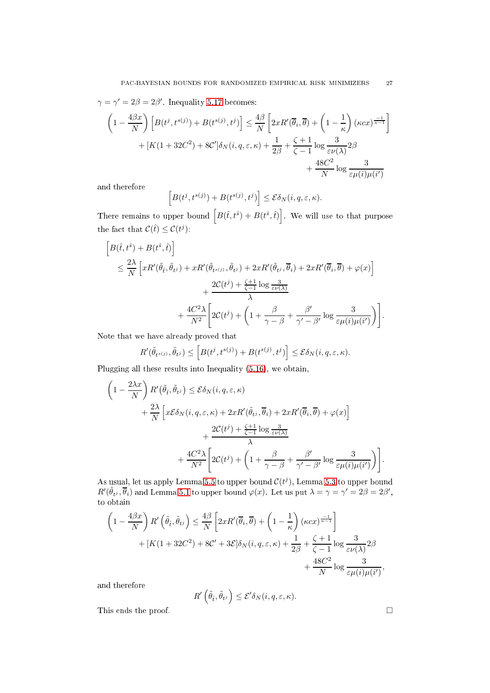$\gamma = \gamma' = 2\beta = 2\beta'$ . Inequality [5.17](#page-25-0) becomes:

$$
\left(1 - \frac{4\beta x}{N}\right) \left[B(t^j, t^{s(j)}) + B(t^{s(j)}, t^j)\right] \le \frac{4\beta}{N} \left[2xR'(\overline{\theta}_i, \overline{\theta}) + \left(1 - \frac{1}{\kappa}\right)(\kappa cx)^{\frac{-1}{\kappa - 1}}\right] + [K(1 + 32C^2) + 8C']\delta_N(i, q, \varepsilon, \kappa) + \frac{1}{2\beta} + \frac{\zeta + 1}{\zeta - 1}\log \frac{3}{\varepsilon \nu(\lambda)} 2\beta + \frac{48C^2}{N}\log \frac{3}{\varepsilon \mu(i)\mu(i')}
$$

and therefore

$$
\[B(t^j, t^{s(j)}) + B(t^{s(j)}, t^j)\] \leq \mathcal{E}\delta_N(i, q, \varepsilon, \kappa).
$$

There remains to upper bound  $\left[ B(\hat{t}, t^{\hat{s}}) + B(t^{\hat{s}}, \hat{t}) \right]$ . We will use to that purpose the fact that  $\mathcal{C}(\hat{t}) \leq \mathcal{C}(t^j)$ :

$$
\begin{aligned}\n\left[B(\hat{t}, t^{\hat{s}}) + B(t^{\hat{s}}, \hat{t})\right] \\
&\leq \frac{2\lambda}{N} \left[ xR'(\tilde{\theta}_{\hat{t}}, \tilde{\theta}_{t^j}) + xR'(\tilde{\theta}_{t^s(j)}, \tilde{\theta}_{t^j}) + 2xR'(\tilde{\theta}_{t^j}, \overline{\theta}_{i}) + 2xR'(\overline{\theta}_{\hat{t}}, \overline{\theta}) + \varphi(x) \right] \\
&\quad + \frac{2C(t^j) + \frac{\zeta + 1}{\zeta - 1} \log \frac{3}{\varepsilon \nu(\lambda)}}{\lambda} \\
&\quad + \frac{4C^2 \lambda}{N^2} \left[ 2C(t^j) + \left(1 + \frac{\beta}{\gamma - \beta} + \frac{\beta'}{\gamma' - \beta'} \log \frac{3}{\varepsilon \mu(i) \mu(i')}\right) \right]\n\end{aligned}
$$

Note that we have already proved that

$$
R'(\tilde{\theta}_{t^{s(j)}}, \tilde{\theta}_{t^j}) \le \left[ B(t^j, t^{s(j)}) + B(t^{s(j)}, t^j) \right] \le \mathcal{E} \delta_N(i, q, \varepsilon, \kappa).
$$

Plugging all these results into Inequality [\(5.16\)](#page-25-1), we obtain,

$$
\left(1 - \frac{2\lambda x}{N}\right) R'\left(\tilde{\theta}_{t}, \tilde{\theta}_{t^{j}}\right) \leq \mathcal{E}\delta_{N}(i, q, \varepsilon, \kappa) \n+ \frac{2\lambda}{N}\left[x\mathcal{E}\delta_{N}(i, q, \varepsilon, \kappa) + 2xR'(\tilde{\theta}_{t^{j}}, \overline{\theta}_{t}) + 2xR'(\overline{\theta}_{t}, \overline{\theta}) + \varphi(x)\right] \n+ \frac{2\mathcal{C}(t^{j}) + \frac{\zeta + 1}{\zeta - 1}\log\frac{3}{\varepsilon\nu(\lambda)}}{\lambda} \n+ \frac{4C^{2}\lambda}{N^{2}}\left[2\mathcal{C}(t^{j}) + \left(1 + \frac{\beta}{\gamma - \beta} + \frac{\beta'}{\gamma' - \beta'}\log\frac{3}{\varepsilon\mu(i)\mu(i')}\right)\right].
$$

As usual, let us apply Lemma [5.5](#page-21-0) to upper bound  $\mathcal{C}(t^j)$ , Lemma [5.3](#page-17-0) to upper bound  $R'(\tilde{\theta}_t, \overline{\theta}_t)$  and Lemma [5.1](#page-15-3) to upper bound  $\varphi(x)$ . Let us put  $\lambda = \gamma = \gamma' = 2\beta = 2\beta'$ , to obtain

$$
\left(1 - \frac{4\beta x}{N}\right)R'\left(\tilde{\theta}_{\tilde{t}}, \tilde{\theta}_{t^j}\right) \leq \frac{4\beta}{N}\left[2xR'(\overline{\theta}_{i}, \overline{\theta}) + \left(1 - \frac{1}{\kappa}\right)(\kappa cx)^{\frac{-1}{\kappa - 1}}\right] + [K(1 + 32C^2) + 8C' + 3\mathcal{E}]\delta_N(i, q, \varepsilon, \kappa) + \frac{1}{2\beta} + \frac{\zeta + 1}{\zeta - 1}\log\frac{3}{\varepsilon\nu(\lambda)}2\beta + \frac{48C^2}{N}\log\frac{3}{\varepsilon\mu(i)\mu(i')},
$$

and therefore

$$
R'\left(\tilde{\theta}_{\hat{t}},\tilde{\theta}_{t^j}\right)\leq \mathcal{E}'\delta_N(i,q,\varepsilon,\kappa).
$$

This ends the proof.  $\hfill \square$ 

.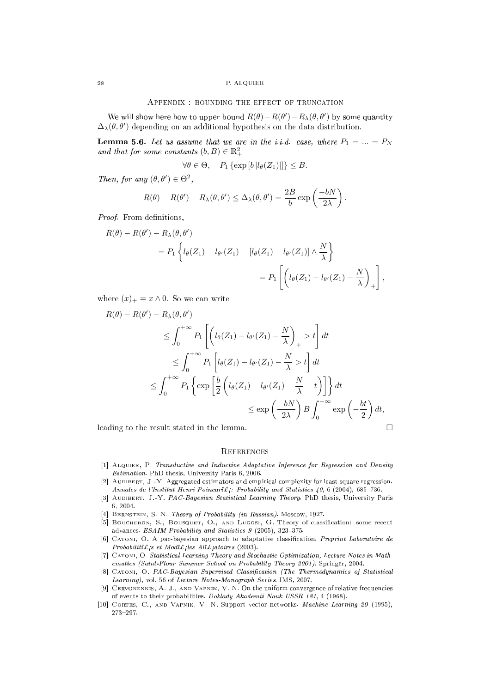#### APPENDIX : BOUNDING THE EFFECT OF TRUNCATION

<span id="page-27-2"></span>We will show here how to upper bound  $R(\theta) - R(\theta') - R_\lambda(\theta, \theta')$  by some quantity  $\Delta_{\lambda}(\theta, \theta')$  depending on an additional hypothesis on the data distribution.

<span id="page-27-11"></span>**Lemma 5.6.** Let us assume that we are in the i.i.d. case, where  $P_1 = ... = P_N$ and that for some constants  $(b, B) \in \mathbb{R}^2_+$ 

$$
\forall \theta \in \Theta, \quad P_1 \left\{ \exp\left[ b \left| l_{\theta}(Z_1) \right| \right] \right\} \leq B.
$$

Then, for any  $(\theta, \theta') \in \Theta^2$ ,

$$
R(\theta) - R(\theta') - R_{\lambda}(\theta, \theta') \leq \Delta_{\lambda}(\theta, \theta') = \frac{2B}{b} \exp\left(\frac{-bN}{2\lambda}\right).
$$

Proof. From definitions,

$$
R(\theta) - R(\theta') - R_{\lambda}(\theta, \theta')
$$
  
=  $P_1 \left\{ l_{\theta}(Z_1) - l_{\theta'}(Z_1) - [l_{\theta}(Z_1) - l_{\theta'}(Z_1)] \wedge \frac{N}{\lambda} \right\}$   
=  $P_1 \left[ \left( l_{\theta}(Z_1) - l_{\theta'}(Z_1) - \frac{N}{\lambda} \right)_+ \right],$ 

where  $(x)_+ = x \wedge 0$ . So we can write

$$
R(\theta) - R(\theta') - R_{\lambda}(\theta, \theta')
$$
  
\n
$$
\leq \int_0^{+\infty} P_1 \left[ \left( l_{\theta}(Z_1) - l_{\theta'}(Z_1) - \frac{N}{\lambda} \right)_+ > t \right] dt
$$
  
\n
$$
\leq \int_0^{+\infty} P_1 \left[ l_{\theta}(Z_1) - l_{\theta'}(Z_1) - \frac{N}{\lambda} > t \right] dt
$$
  
\n
$$
\leq \int_0^{+\infty} P_1 \left\{ \exp \left[ \frac{b}{2} \left( l_{\theta}(Z_1) - l_{\theta'}(Z_1) - \frac{N}{\lambda} - t \right) \right] \right\} dt
$$
  
\n
$$
\leq \exp \left( \frac{-bN}{2\lambda} \right) B \int_0^{+\infty} \exp \left( -\frac{bt}{2} \right) dt,
$$

leading to the result stated in the lemma.

#### **REFERENCES**

- <span id="page-27-10"></span><span id="page-27-3"></span>[1] ALQUIER, P. Transductive and Inductive Adaptative Inference for Regression and Density Estimation. PhD thesis, University Paris 6, 2006.
- <span id="page-27-9"></span>[2] AUDIBERT, J.-Y. Aggregated estimators and empirical complexity for least square regression. Annales de l'Institut Henri Poincari $\mathcal{L}_i$ : Probability and Statistics 40, 6 (2004), 685-736.
- <span id="page-27-8"></span>[3] AUDIBERT, J.-Y. PAC-Bayesian Statistical Learning Theory. PhD thesis, University Paris 6, 2004.
- <span id="page-27-12"></span><span id="page-27-6"></span>[4] BERNSTEIN, S. N. Theory of Probability (in Russian). Moscow, 1927.
- [5] BOUCHERON, S., BOUSQUET, O., AND LUGOSI, G. Theory of classification: some recent advances. ESAIM Probability and Statistics 9 (2005), 323-375.
- <span id="page-27-0"></span>[6] CATONI, O. A pac-bayesian approach to adaptative classification. Preprint Laboratoire de  $Probability is$  et Modi $E$ ; les Alï $E$ ; atoires (2003).
- <span id="page-27-7"></span>[7] CATONI, O. Statistical Learning Theory and Stochastic Optimization, Lecture Notes in Mathematics (Saint-Flour Summer School on Probability Theory 2001). Springer, 2004.
- <span id="page-27-1"></span>[8] CATONI, O. PAC-Bayesian Supervised Classification (The Thermodynamics of Statistical Learning), vol. 56 of Lecture Notes-Monograph Series. IMS, 2007.
- <span id="page-27-5"></span>[9] CERVONENKIS, A. J., AND VAPNIK, V. N. On the uniform convergence of relative frequencies of events to their probabilities. Doklady Akademii Nauk USSR 181, 4 (1968).
- <span id="page-27-4"></span>[10] CORTES, C., AND VAPNIK, V. N. Support vector networks. Machine Learning 20 (1995), 273-297.